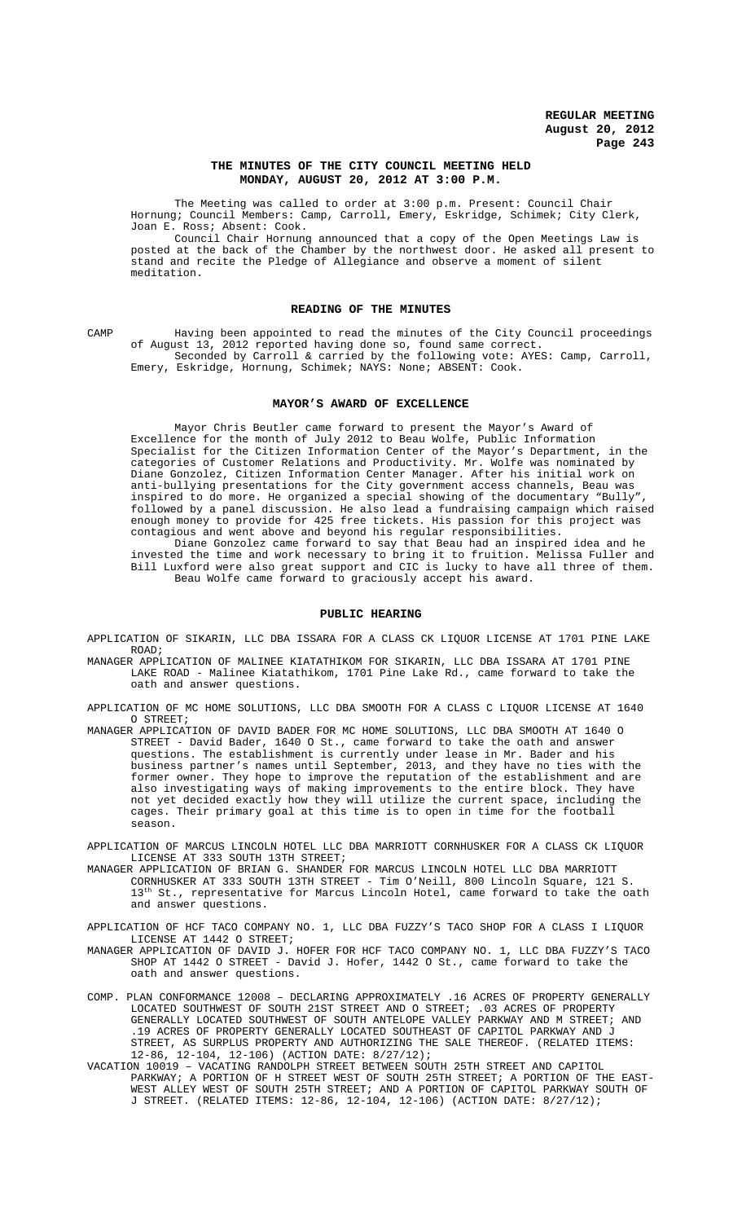### **THE MINUTES OF THE CITY COUNCIL MEETING HELD MONDAY, AUGUST 20, 2012 AT 3:00 P.M.**

The Meeting was called to order at 3:00 p.m. Present: Council Chair Hornung; Council Members: Camp, Carroll, Emery, Eskridge, Schimek; City Clerk, Joan E. Ross; Absent: Cook.

Council Chair Hornung announced that a copy of the Open Meetings Law is posted at the back of the Chamber by the northwest door. He asked all present to stand and recite the Pledge of Allegiance and observe a moment of silent meditation.

### **READING OF THE MINUTES**

CAMP Having been appointed to read the minutes of the City Council proceedings of August 13, 2012 reported having done so, found same correct. Seconded by Carroll & carried by the following vote: AYES: Camp, Carroll, Emery, Eskridge, Hornung, Schimek; NAYS: None; ABSENT: Cook.

#### **MAYOR'S AWARD OF EXCELLENCE**

Mayor Chris Beutler came forward to present the Mayor's Award of Excellence for the month of July 2012 to Beau Wolfe, Public Information Specialist for the Citizen Information Center of the Mayor's Department, in the categories of Customer Relations and Productivity. Mr. Wolfe was nominated by Diane Gonzolez, Citizen Information Center Manager. After his initial work on anti-bullying presentations for the City government access channels, Beau was inspired to do more. He organized a special showing of the documentary "Bully", followed by a panel discussion. He also lead a fundraising campaign which raised enough money to provide for 425 free tickets. His passion for this project was contagious and went above and beyond his regular responsibilities.

Diane Gonzolez came forward to say that Beau had an inspired idea and he invested the time and work necessary to bring it to fruition. Melissa Fuller and Bill Luxford were also great support and CIC is lucky to have all three of them. Beau Wolfe came forward to graciously accept his award.

### **PUBLIC HEARING**

APPLICATION OF SIKARIN, LLC DBA ISSARA FOR A CLASS CK LIQUOR LICENSE AT 1701 PINE LAKE ROAD;

MANAGER APPLICATION OF MALINEE KIATATHIKOM FOR SIKARIN, LLC DBA ISSARA AT 1701 PINE LAKE ROAD - Malinee Kiatathikom, 1701 Pine Lake Rd., came forward to take the oath and answer questions.

APPLICATION OF MC HOME SOLUTIONS, LLC DBA SMOOTH FOR A CLASS C LIQUOR LICENSE AT 1640 O STREET;

MANAGER APPLICATION OF DAVID BADER FOR MC HOME SOLUTIONS, LLC DBA SMOOTH AT 1640 O STREET - David Bader, 1640 O St., came forward to take the oath and answer questions. The establishment is currently under lease in Mr. Bader and his business partner's names until September, 2013, and they have no ties with the former owner. They hope to improve the reputation of the establishment and are also investigating ways of making improvements to the entire block. They have not yet decided exactly how they will utilize the current space, including the cages. Their primary goal at this time is to open in time for the football season.

APPLICATION OF MARCUS LINCOLN HOTEL LLC DBA MARRIOTT CORNHUSKER FOR A CLASS CK LIQUOR LICENSE AT 333 SOUTH 13TH STREET;

- MANAGER APPLICATION OF BRIAN G. SHANDER FOR MARCUS LINCOLN HOTEL LLC DBA MARRIOTT CORNHUSKER AT 333 SOUTH 13TH STREET - Tim O'Neill, 800 Lincoln Square, 121 S.  $13^{\text{th}}$  St., representative for Marcus Lincoln Hotel, came forward to take the oath and answer questions.
- APPLICATION OF HCF TACO COMPANY NO. 1, LLC DBA FUZZY'S TACO SHOP FOR A CLASS I LIQUOR LICENSE AT 1442 O STREET;
- MANAGER APPLICATION OF DAVID J. HOFER FOR HCF TACO COMPANY NO. 1, LLC DBA FUZZY'S TACO SHOP AT 1442 O STREET - David J. Hofer, 1442 O St., came forward to take the oath and answer questions.
- COMP. PLAN CONFORMANCE 12008 DECLARING APPROXIMATELY .16 ACRES OF PROPERTY GENERALLY LOCATED SOUTHWEST OF SOUTH 21ST STREET AND O STREET; .03 ACRES OF PROPERTY GENERALLY LOCATED SOUTHWEST OF SOUTH ANTELOPE VALLEY PARKWAY AND M STREET; AND .19 ACRES OF PROPERTY GENERALLY LOCATED SOUTHEAST OF CAPITOL PARKWAY AND J STREET, AS SURPLUS PROPERTY AND AUTHORIZING THE SALE THEREOF. (RELATED ITEMS: 12-86, 12-104, 12-106) (ACTION DATE: 8/27/12);
- VACATION 10019 VACATING RANDOLPH STREET BETWEEN SOUTH 25TH STREET AND CAPITOL PARKWAY; A PORTION OF H STREET WEST OF SOUTH 25TH STREET; A PORTION OF THE EAST-WEST ALLEY WEST OF SOUTH 25TH STREET; AND A PORTION OF CAPITOL PARKWAY SOUTH OF J STREET. (RELATED ITEMS: 12-86, 12-104, 12-106) (ACTION DATE: 8/27/12);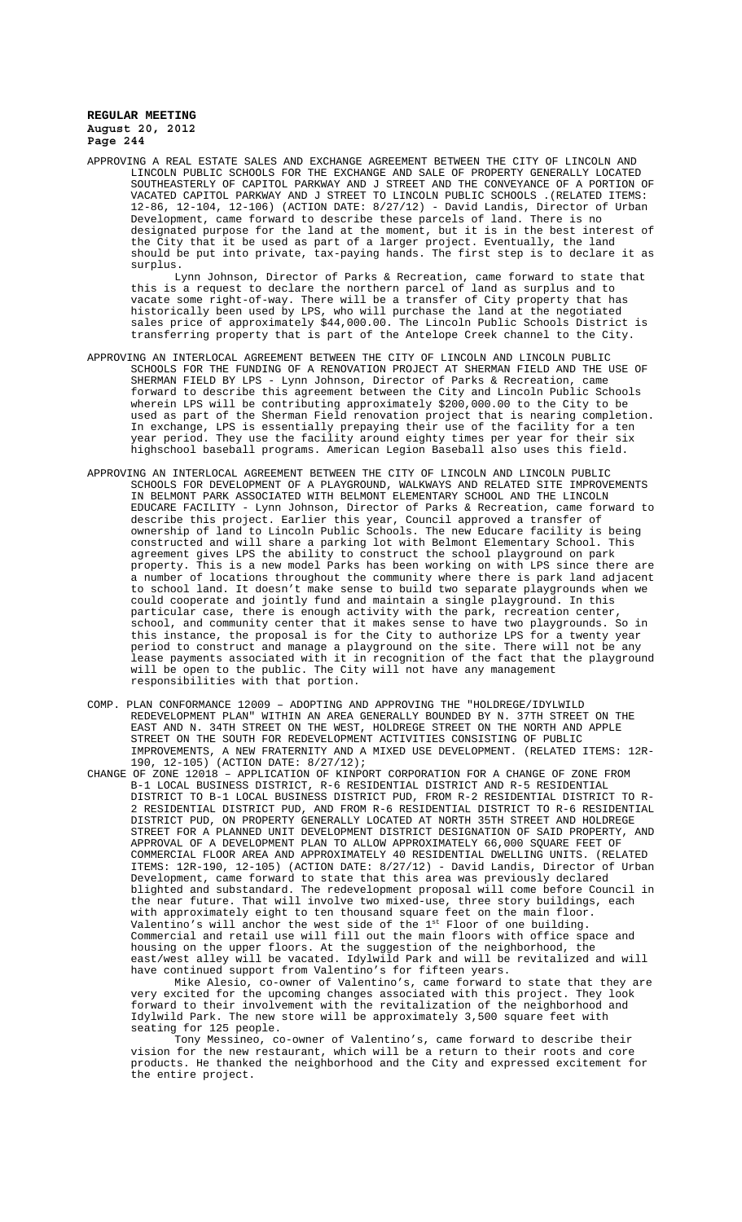APPROVING A REAL ESTATE SALES AND EXCHANGE AGREEMENT BETWEEN THE CITY OF LINCOLN AND LINCOLN PUBLIC SCHOOLS FOR THE EXCHANGE AND SALE OF PROPERTY GENERALLY LOCATED SOUTHEASTERLY OF CAPITOL PARKWAY AND J STREET AND THE CONVEYANCE OF A PORTION OF VACATED CAPITOL PARKWAY AND J STREET TO LINCOLN PUBLIC SCHOOLS .(RELATED ITEMS: 12-86, 12-104, 12-106) (ACTION DATE: 8/27/12) - David Landis, Director of Urban Development, came forward to describe these parcels of land. There is no designated purpose for the land at the moment, but it is in the best interest of the City that it be used as part of a larger project. Eventually, the land should be put into private, tax-paying hands. The first step is to declare it as surplus.

Lynn Johnson, Director of Parks & Recreation, came forward to state that this is a request to declare the northern parcel of land as surplus and to vacate some right-of-way. There will be a transfer of City property that has historically been used by LPS, who will purchase the land at the negotiated sales price of approximately \$44,000.00. The Lincoln Public Schools District is transferring property that is part of the Antelope Creek channel to the City.

- APPROVING AN INTERLOCAL AGREEMENT BETWEEN THE CITY OF LINCOLN AND LINCOLN PUBLIC SCHOOLS FOR THE FUNDING OF A RENOVATION PROJECT AT SHERMAN FIELD AND THE USE OF SHERMAN FIELD BY LPS - Lynn Johnson, Director of Parks & Recreation, came forward to describe this agreement between the City and Lincoln Public Schools wherein LPS will be contributing approximately \$200,000.00 to the City to be used as part of the Sherman Field renovation project that is nearing completion. In exchange, LPS is essentially prepaying their use of the facility for a ten year period. They use the facility around eighty times per year for their six highschool baseball programs. American Legion Baseball also uses this field.
- APPROVING AN INTERLOCAL AGREEMENT BETWEEN THE CITY OF LINCOLN AND LINCOLN PUBLIC SCHOOLS FOR DEVELOPMENT OF A PLAYGROUND, WALKWAYS AND RELATED SITE IMPROVEMENTS IN BELMONT PARK ASSOCIATED WITH BELMONT ELEMENTARY SCHOOL AND THE LINCOLN EDUCARE FACILITY - Lynn Johnson, Director of Parks & Recreation, came forward to describe this project. Earlier this year, Council approved a transfer of ownership of land to Lincoln Public Schools. The new Educare facility is being constructed and will share a parking lot with Belmont Elementary School. This agreement gives LPS the ability to construct the school playground on park property. This is a new model Parks has been working on with LPS since there are a number of locations throughout the community where there is park land adjacent to school land. It doesn't make sense to build two separate playgrounds when we could cooperate and jointly fund and maintain a single playground. In this particular case, there is enough activity with the park, recreation center, school, and community center that it makes sense to have two playgrounds. So in this instance, the proposal is for the City to authorize LPS for a twenty year period to construct and manage a playground on the site. There will not be any lease payments associated with it in recognition of the fact that the playground will be open to the public. The City will not have any management responsibilities with that portion.
- COMP. PLAN CONFORMANCE 12009 ADOPTING AND APPROVING THE "HOLDREGE/IDYLWILD REDEVELOPMENT PLAN" WITHIN AN AREA GENERALLY BOUNDED BY N. 37TH STREET ON THE EAST AND N. 34TH STREET ON THE WEST, HOLDREGE STREET ON THE NORTH AND APPLE STREET ON THE SOUTH FOR REDEVELOPMENT ACTIVITIES CONSISTING OF PUBLIC IMPROVEMENTS, A NEW FRATERNITY AND A MIXED USE DEVELOPMENT. (RELATED ITEMS: 12R-190, 12-105) (ACTION DATE: 8/27/12);
- CHANGE OF ZONE 12018 APPLICATION OF KINPORT CORPORATION FOR A CHANGE OF ZONE FROM B-1 LOCAL BUSINESS DISTRICT, R-6 RESIDENTIAL DISTRICT AND R-5 RESIDENTIAL DISTRICT TO B-1 LOCAL BUSINESS DISTRICT PUD, FROM R-2 RESIDENTIAL DISTRICT TO R-2 RESIDENTIAL DISTRICT PUD, AND FROM R-6 RESIDENTIAL DISTRICT TO R-6 RESIDENTIAL DISTRICT PUD, ON PROPERTY GENERALLY LOCATED AT NORTH 35TH STREET AND HOLDREGE STREET FOR A PLANNED UNIT DEVELOPMENT DISTRICT DESIGNATION OF SAID PROPERTY, AND APPROVAL OF A DEVELOPMENT PLAN TO ALLOW APPROXIMATELY 66,000 SQUARE FEET OF COMMERCIAL FLOOR AREA AND APPROXIMATELY 40 RESIDENTIAL DWELLING UNITS. (RELATED ITEMS: 12R-190, 12-105) (ACTION DATE: 8/27/12) - David Landis, Director of Urban Development, came forward to state that this area was previously declared blighted and substandard. The redevelopment proposal will come before Council in the near future. That will involve two mixed-use, three story buildings, each with approximately eight to ten thousand square feet on the main floor. Valentino's will anchor the west side of the 1<sup>st</sup> Floor of one building. Commercial and retail use will fill out the main floors with office space and housing on the upper floors. At the suggestion of the neighborhood, the east/west alley will be vacated. Idylwild Park and will be revitalized and will have continued support from Valentino's for fifteen years.

Mike Alesio, co-owner of Valentino's, came forward to state that they are very excited for the upcoming changes associated with this project. They look forward to their involvement with the revitalization of the neighborhood and Idylwild Park. The new store will be approximately 3,500 square feet with seating for 125 people.

Tony Messineo, co-owner of Valentino's, came forward to describe their vision for the new restaurant, which will be a return to their roots and core products. He thanked the neighborhood and the City and expressed excitement for the entire project.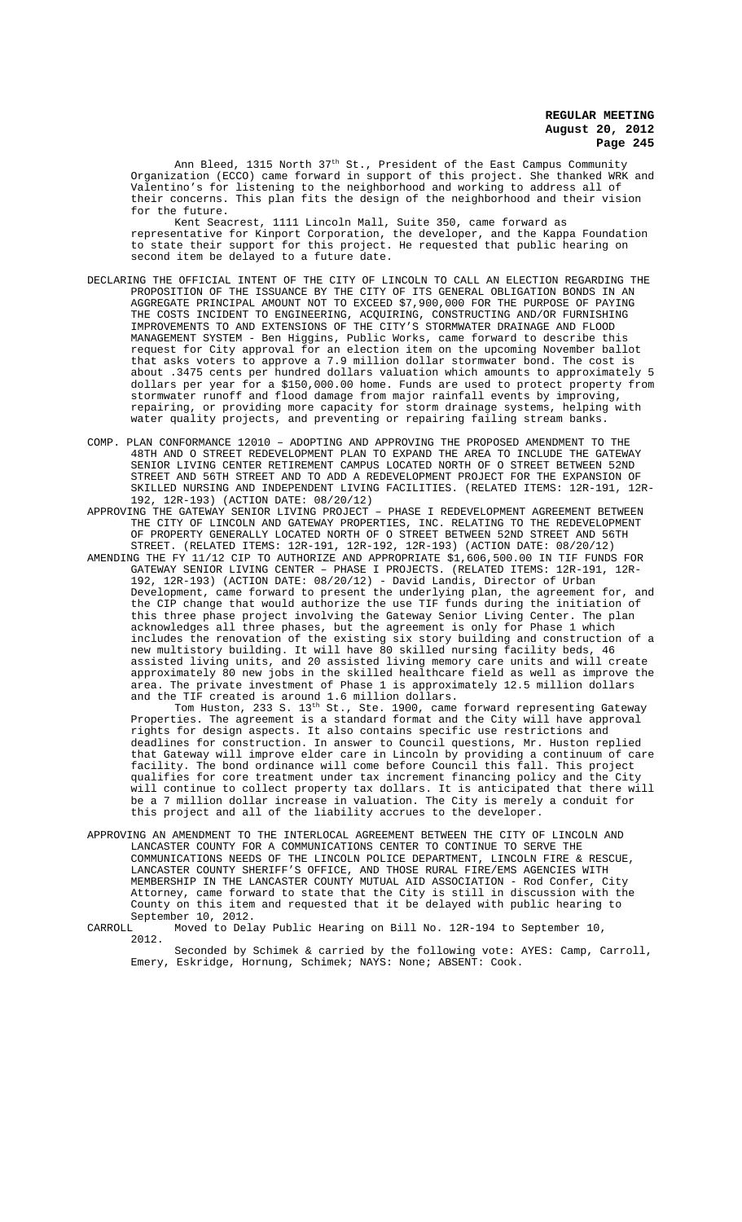Ann Bleed, 1315 North 37<sup>th</sup> St., President of the East Campus Community Organization (ECCO) came forward in support of this project. She thanked WRK and Valentino's for listening to the neighborhood and working to address all of their concerns. This plan fits the design of the neighborhood and their vision for the future.

Kent Seacrest, 1111 Lincoln Mall, Suite 350, came forward as representative for Kinport Corporation, the developer, and the Kappa Foundation to state their support for this project. He requested that public hearing on second item be delayed to a future date.

- DECLARING THE OFFICIAL INTENT OF THE CITY OF LINCOLN TO CALL AN ELECTION REGARDING THE PROPOSITION OF THE ISSUANCE BY THE CITY OF ITS GENERAL OBLIGATION BONDS IN AN AGGREGATE PRINCIPAL AMOUNT NOT TO EXCEED \$7,900,000 FOR THE PURPOSE OF PAYING THE COSTS INCIDENT TO ENGINEERING, ACQUIRING, CONSTRUCTING AND/OR FURNISHING IMPROVEMENTS TO AND EXTENSIONS OF THE CITY'S STORMWATER DRAINAGE AND FLOOD MANAGEMENT SYSTEM - Ben Higgins, Public Works, came forward to describe this request for City approval for an election item on the upcoming November ballot that asks voters to approve a 7.9 million dollar stormwater bond. The cost is about .3475 cents per hundred dollars valuation which amounts to approximately 5 dollars per year for a \$150,000.00 home. Funds are used to protect property from stormwater runoff and flood damage from major rainfall events by improving, repairing, or providing more capacity for storm drainage systems, helping with water quality projects, and preventing or repairing failing stream banks.
- COMP. PLAN CONFORMANCE 12010 ADOPTING AND APPROVING THE PROPOSED AMENDMENT TO THE 48TH AND O STREET REDEVELOPMENT PLAN TO EXPAND THE AREA TO INCLUDE THE GATEWAY SENIOR LIVING CENTER RETIREMENT CAMPUS LOCATED NORTH OF O STREET BETWEEN 52ND STREET AND 56TH STREET AND TO ADD A REDEVELOPMENT PROJECT FOR THE EXPANSION OF SKILLED NURSING AND INDEPENDENT LIVING FACILITIES. (RELATED ITEMS: 12R-191, 12R-192, 12R-193) (ACTION DATE: 08/20/12)

APPROVING THE GATEWAY SENIOR LIVING PROJECT – PHASE I REDEVELOPMENT AGREEMENT BETWEEN THE CITY OF LINCOLN AND GATEWAY PROPERTIES, INC. RELATING TO THE REDEVELOPMENT OF PROPERTY GENERALLY LOCATED NORTH OF O STREET BETWEEN 52ND STREET AND 56TH STREET. (RELATED ITEMS: 12R-191, 12R-192, 12R-193) (ACTION DATE: 08/20/12)

AMENDING THE FY 11/12 CIP TO AUTHORIZE AND APPROPRIATE \$1,606,500.00 IN TIF FUNDS FOR GATEWAY SENIOR LIVING CENTER – PHASE I PROJECTS. (RELATED ITEMS: 12R-191, 12R-192, 12R-193) (ACTION DATE: 08/20/12) - David Landis, Director of Urban Development, came forward to present the underlying plan, the agreement for, and the CIP change that would authorize the use TIF funds during the initiation of this three phase project involving the Gateway Senior Living Center. The plan acknowledges all three phases, but the agreement is only for Phase 1 which includes the renovation of the existing six story building and construction of a new multistory building. It will have 80 skilled nursing facility beds, 46 assisted living units, and 20 assisted living memory care units and will create approximately 80 new jobs in the skilled healthcare field as well as improve the area. The private investment of Phase 1 is approximately 12.5 million dollars and the TIF created is around 1.6 million dollars.

Tom Huston, 233 S.  $13^{\text{th}}$  St., Ste. 1900, came forward representing Gateway Properties. The agreement is a standard format and the City will have approval rights for design aspects. It also contains specific use restrictions and deadlines for construction. In answer to Council questions, Mr. Huston replied that Gateway will improve elder care in Lincoln by providing a continuum of care facility. The bond ordinance will come before Council this fall. This project qualifies for core treatment under tax increment financing policy and the City will continue to collect property tax dollars. It is anticipated that there will be a 7 million dollar increase in valuation. The City is merely a conduit for this project and all of the liability accrues to the developer.

APPROVING AN AMENDMENT TO THE INTERLOCAL AGREEMENT BETWEEN THE CITY OF LINCOLN AND LANCASTER COUNTY FOR A COMMUNICATIONS CENTER TO CONTINUE TO SERVE THE COMMUNICATIONS NEEDS OF THE LINCOLN POLICE DEPARTMENT, LINCOLN FIRE & RESCUE, LANCASTER COUNTY SHERIFF'S OFFICE, AND THOSE RURAL FIRE/EMS AGENCIES WITH MEMBERSHIP IN THE LANCASTER COUNTY MUTUAL AID ASSOCIATION - Rod Confer, City Attorney, came forward to state that the City is still in discussion with the County on this item and requested that it be delayed with public hearing to September 10, 2012.<br>CARROLL Moved to Dela

Moved to Delay Public Hearing on Bill No. 12R-194 to September 10, 2012.

Seconded by Schimek & carried by the following vote: AYES: Camp, Carroll, Emery, Eskridge, Hornung, Schimek; NAYS: None; ABSENT: Cook.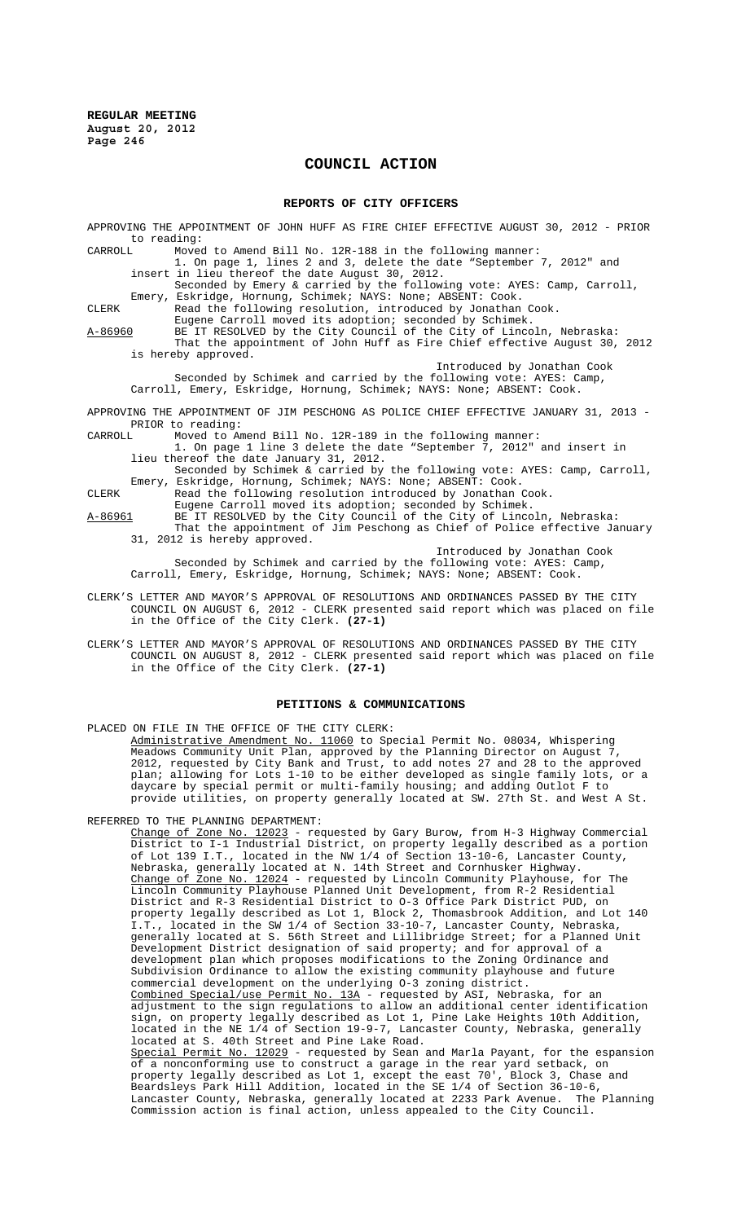# **COUNCIL ACTION**

#### **REPORTS OF CITY OFFICERS**

APPROVING THE APPOINTMENT OF JOHN HUFF AS FIRE CHIEF EFFECTIVE AUGUST 30, 2012 - PRIOR to reading:<br>CARROLL Moved

CARROLL Moved to Amend Bill No. 12R-188 in the following manner: 1. On page 1, lines 2 and 3, delete the date "September 7, 2012" and

insert in lieu thereof the date August 30, 2012.

Seconded by Emery & carried by the following vote: AYES: Camp, Carroll, Emery, Eskridge, Hornung, Schimek; NAYS: None; ABSENT: Cook.

CLERK Read the following resolution, introduced by Jonathan Cook. Eugene Carroll moved its adoption; seconded by Schimek.

A-86960 BE IT RESOLVED by the City Council of the City of Lincoln, Nebraska: That the appointment of John Huff as Fire Chief effective August 30, 2012 is hereby approved.

Introduced by Jonathan Cook

Seconded by Schimek and carried by the following vote: AYES: Camp, Carroll, Emery, Eskridge, Hornung, Schimek; NAYS: None; ABSENT: Cook.

APPROVING THE APPOINTMENT OF JIM PESCHONG AS POLICE CHIEF EFFECTIVE JANUARY 31, 2013 - PRIOR to reading:<br>CARROLL Moved to Ar

Moved to Amend Bill No. 12R-189 in the following manner:

1. On page 1 line 3 delete the date "September 7, 2012" and insert in lieu thereof the date January 31, 2012.

Seconded by Schimek & carried by the following vote: AYES: Camp, Carroll, Emery, Eskridge, Hornung, Schimek; NAYS: None; ABSENT: Cook.

CLERK Read the following resolution introduced by Jonathan Cook.

Eugene Carroll moved its adoption; seconded by Schimek. A-86961 BE IT RESOLVED by the City Council of the City of Lincoln, Nebraska:

That the appointment of Jim Peschong as Chief of Police effective January 31, 2012 is hereby approved.

Introduced by Jonathan Cook

Seconded by Schimek and carried by the following vote: AYES: Camp, Carroll, Emery, Eskridge, Hornung, Schimek; NAYS: None; ABSENT: Cook.

- CLERK'S LETTER AND MAYOR'S APPROVAL OF RESOLUTIONS AND ORDINANCES PASSED BY THE CITY COUNCIL ON AUGUST 6, 2012 - CLERK presented said report which was placed on file in the Office of the City Clerk. **(27-1)**
- CLERK'S LETTER AND MAYOR'S APPROVAL OF RESOLUTIONS AND ORDINANCES PASSED BY THE CITY COUNCIL ON AUGUST 8, 2012 - CLERK presented said report which was placed on file in the Office of the City Clerk. **(27-1)**

### **PETITIONS & COMMUNICATIONS**

PLACED ON FILE IN THE OFFICE OF THE CITY CLERK:

Administrative Amendment No. 11060 to Special Permit No. 08034, Whispering Meadows Community Unit Plan, approved by the Planning Director on August 7, 2012, requested by City Bank and Trust, to add notes 27 and 28 to the approved plan; allowing for Lots 1-10 to be either developed as single family lots, or a daycare by special permit or multi-family housing; and adding Outlot F to provide utilities, on property generally located at SW. 27th St. and West A St.

REFERRED TO THE PLANNING DEPARTMENT:

Change of Zone No. 12023 - requested by Gary Burow, from H-3 Highway Commercial District to I-1 Industrial District, on property legally described as a portion of Lot 139 I.T., located in the NW 1/4 of Section 13-10-6, Lancaster County, Nebraska, generally located at N. 14th Street and Cornhusker Highway.<br>Change of Zone No. 12024 - requested by Lincoln Community Playhouse, for The Change of Zone No. 12024 - requested by Lincoln Community Playhouse, for The Lincoln Community Playhouse Planned Unit Development, from R-2 Residential District and R-3 Residential District to O-3 Office Park District PUD, on property legally described as Lot 1, Block 2, Thomasbrook Addition, and Lot 140 I.T., located in the SW 1/4 of Section 33-10-7, Lancaster County, Nebraska, generally located at S. 56th Street and Lillibridge Street; for a Planned Unit Development District designation of said property; and for approval of a development plan which proposes modifications to the Zoning Ordinance and Subdivision Ordinance to allow the existing community playhouse and future commercial development on the underlying O-3 zoning district. Combined Special/use Permit No. 13A - requested by ASI, Nebraska, for an adjustment to the sign regulations to allow an additional center identification sign, on property legally described as Lot 1, Pine Lake Heights 10th Addition, located in the NE 1/4 of Section 19-9-7, Lancaster County, Nebraska, generally located at S. 40th Street and Pine Lake Road. Special Permit No. 12029 - requested by Sean and Marla Payant, for the espansion of a nonconforming use to construct a garage in the rear yard setback, on property legally described as Lot 1, except the east 70', Block 3, Chase and Beardsleys Park Hill Addition, located in the SE 1/4 of Section 36-10-6, Lancaster County, Nebraska, generally located at 2233 Park Avenue. The Planning Commission action is final action, unless appealed to the City Council.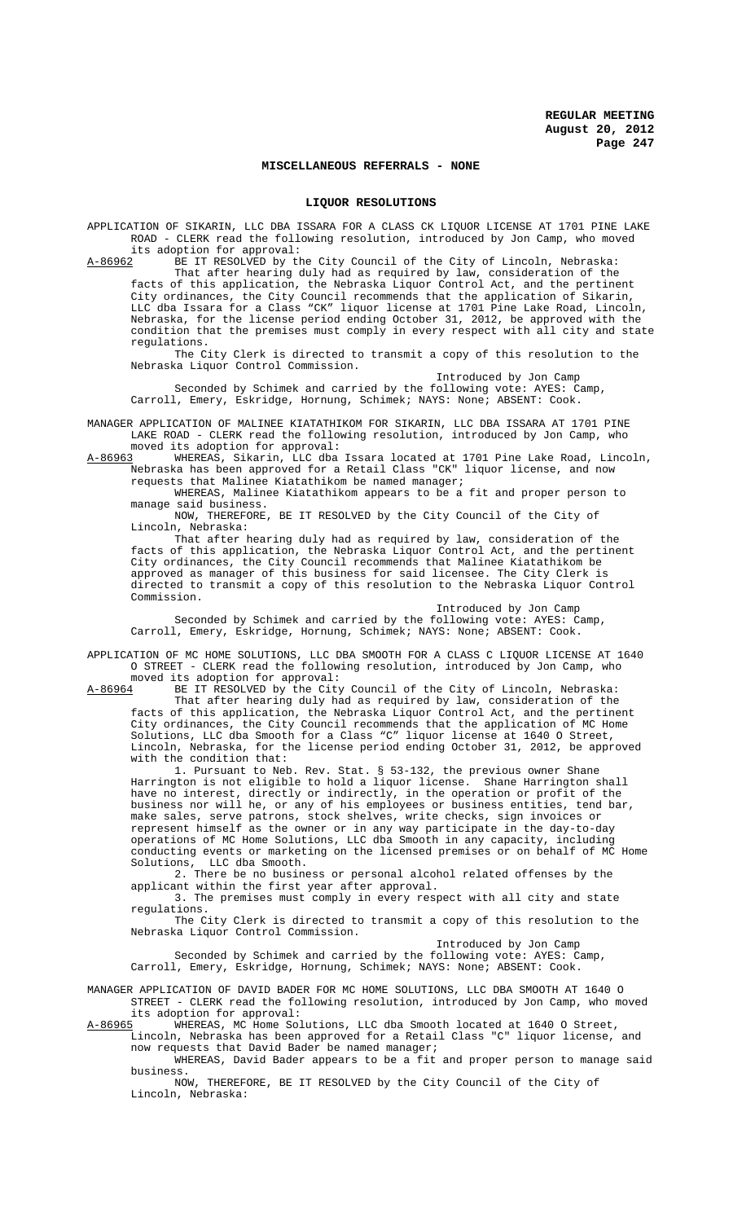### **MISCELLANEOUS REFERRALS - NONE**

#### **LIQUOR RESOLUTIONS**

APPLICATION OF SIKARIN, LLC DBA ISSARA FOR A CLASS CK LIQUOR LICENSE AT 1701 PINE LAKE ROAD - CLERK read the following resolution, introduced by Jon Camp, who moved its adoption for approval:<br>A-86962 BE IT RESOLVED by the

A-86962 BE IT RESOLVED by the City Council of the City of Lincoln, Nebraska: That after hearing duly had as required by law, consideration of the facts of this application, the Nebraska Liquor Control Act, and the pertinent City ordinances, the City Council recommends that the application of Sikarin, LLC dba Issara for a Class "CK" liquor license at 1701 Pine Lake Road, Lincoln, Nebraska, for the license period ending October 31, 2012, be approved with the condition that the premises must comply in every respect with all city and state regulations.

The City Clerk is directed to transmit a copy of this resolution to the Nebraska Liquor Control Commission. Introduced by Jon Camp

Seconded by Schimek and carried by the following vote: AYES: Camp, Carroll, Emery, Eskridge, Hornung, Schimek; NAYS: None; ABSENT: Cook.

MANAGER APPLICATION OF MALINEE KIATATHIKOM FOR SIKARIN, LLC DBA ISSARA AT 1701 PINE LAKE ROAD - CLERK read the following resolution, introduced by Jon Camp, who moved its adoption for approval:<br>A-86963 WHEREAS, Sikarin, LLC dba

A-86963 WHEREAS, Sikarin, LLC dba Issara located at 1701 Pine Lake Road, Lincoln, Nebraska has been approved for a Retail Class "CK" liquor license, and now requests that Malinee Kiatathikom be named manager;

WHEREAS, Malinee Kiatathikom appears to be a fit and proper person to manage said business.

NOW, THEREFORE, BE IT RESOLVED by the City Council of the City of Lincoln, Nebraska:

That after hearing duly had as required by law, consideration of the facts of this application, the Nebraska Liquor Control Act, and the pertinent City ordinances, the City Council recommends that Malinee Kiatathikom be approved as manager of this business for said licensee. The City Clerk is directed to transmit a copy of this resolution to the Nebraska Liquor Control Commission.

Introduced by Jon Camp

Seconded by Schimek and carried by the following vote: AYES: Camp, Carroll, Emery, Eskridge, Hornung, Schimek; NAYS: None; ABSENT: Cook.

APPLICATION OF MC HOME SOLUTIONS, LLC DBA SMOOTH FOR A CLASS C LIQUOR LICENSE AT 1640 O STREET - CLERK read the following resolution, introduced by Jon Camp, who moved its adoption for approval:<br>A-86964 BE IT RESOLVED by the City

A-86964 BE IT RESOLVED by the City Council of the City of Lincoln, Nebraska:

That after hearing duly had as required by law, consideration of the facts of this application, the Nebraska Liquor Control Act, and the pertinent City ordinances, the City Council recommends that the application of MC Home Solutions, LLC dba Smooth for a Class "C" liquor license at 1640 O Street, Lincoln, Nebraska, for the license period ending October 31, 2012, be approved with the condition that:

1. Pursuant to Neb. Rev. Stat. § 53-132, the previous owner Shane Harrington is not eligible to hold a liquor license. Shane Harrington shall have no interest, directly or indirectly, in the operation or profit of the business nor will he, or any of his employees or business entities, tend bar, make sales, serve patrons, stock shelves, write checks, sign invoices or represent himself as the owner or in any way participate in the day-to-day operations of MC Home Solutions, LLC dba Smooth in any capacity, including conducting events or marketing on the licensed premises or on behalf of MC Home Solutions, LLC dba Smooth.

2. There be no business or personal alcohol related offenses by the applicant within the first year after approval.

3. The premises must comply in every respect with all city and state regulations.

The City Clerk is directed to transmit a copy of this resolution to the Nebraska Liquor Control Commission.

Introduced by Jon Camp

Seconded by Schimek and carried by the following vote: AYES: Camp, Carroll, Emery, Eskridge, Hornung, Schimek; NAYS: None; ABSENT: Cook.

MANAGER APPLICATION OF DAVID BADER FOR MC HOME SOLUTIONS, LLC DBA SMOOTH AT 1640 O STREET - CLERK read the following resolution, introduced by Jon Camp, who moved

its adoption for approval:<br>A-86965 WHEREAS, MC Home So. WHEREAS, MC Home Solutions, LLC dba Smooth located at 1640 O Street,

Lincoln, Nebraska has been approved for a Retail Class "C" liquor license, and now requests that David Bader be named manager;

WHEREAS, David Bader appears to be a fit and proper person to manage said business.

NOW, THEREFORE, BE IT RESOLVED by the City Council of the City of Lincoln, Nebraska: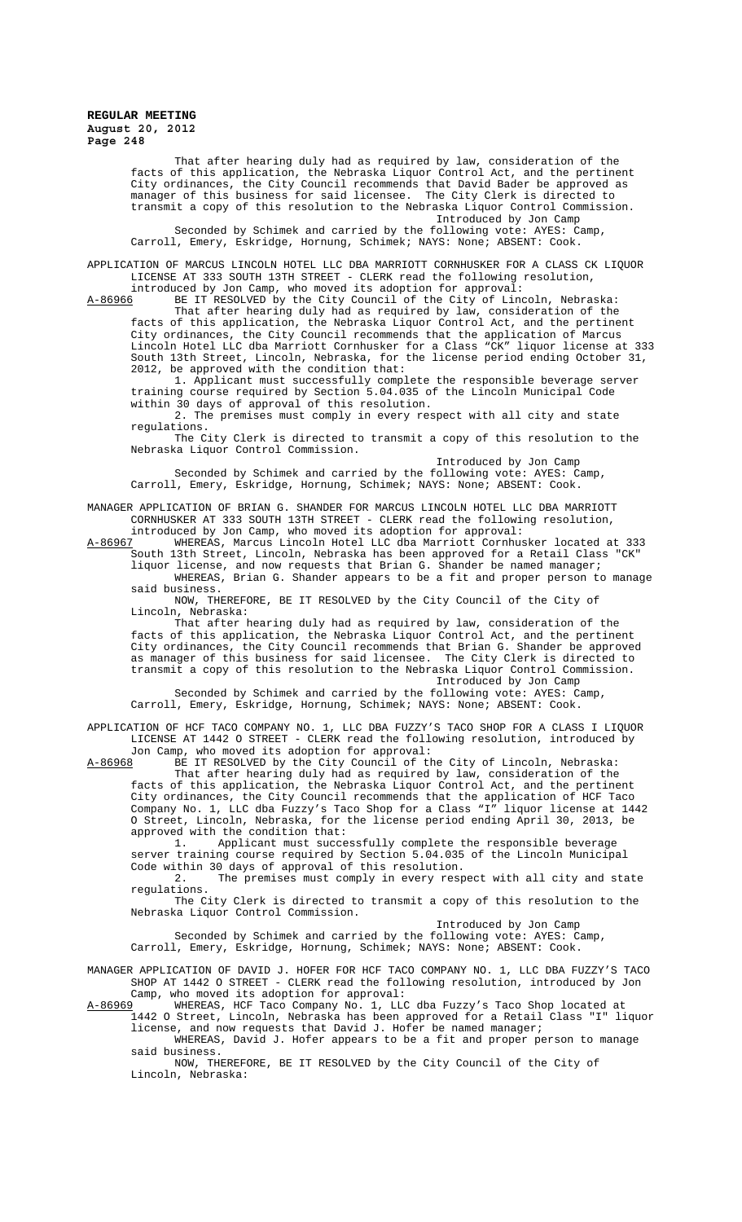That after hearing duly had as required by law, consideration of the facts of this application, the Nebraska Liquor Control Act, and the pertinent City ordinances, the City Council recommends that David Bader be approved as manager of this business for said licensee. The City Clerk is directed to transmit a copy of this resolution to the Nebraska Liquor Control Commission.

Introduced by Jon Camp Seconded by Schimek and carried by the following vote: AYES: Camp, Carroll, Emery, Eskridge, Hornung, Schimek; NAYS: None; ABSENT: Cook.

APPLICATION OF MARCUS LINCOLN HOTEL LLC DBA MARRIOTT CORNHUSKER FOR A CLASS CK LIQUOR LICENSE AT 333 SOUTH 13TH STREET - CLERK read the following resolution, introduced by Jon Camp, who moved its adoption for approval:

A-86966 BE IT RESOLVED by the City Council of the City of Lincoln, Nebraska:

That after hearing duly had as required by law, consideration of the facts of this application, the Nebraska Liquor Control Act, and the pertinent City ordinances, the City Council recommends that the application of Marcus Lincoln Hotel LLC dba Marriott Cornhusker for a Class "CK" liquor license at 333 South 13th Street, Lincoln, Nebraska, for the license period ending October 31, 2012, be approved with the condition that:

1. Applicant must successfully complete the responsible beverage server training course required by Section 5.04.035 of the Lincoln Municipal Code within 30 days of approval of this resolution.

2. The premises must comply in every respect with all city and state regulations.

The City Clerk is directed to transmit a copy of this resolution to the Nebraska Liquor Control Commission.

Introduced by Jon Camp Seconded by Schimek and carried by the following vote: AYES: Camp, Carroll, Emery, Eskridge, Hornung, Schimek; NAYS: None; ABSENT: Cook.

MANAGER APPLICATION OF BRIAN G. SHANDER FOR MARCUS LINCOLN HOTEL LLC DBA MARRIOTT CORNHUSKER AT 333 SOUTH 13TH STREET - CLERK read the following resolution, introduced by Jon Camp, who moved its adoption for approval:

A-86967 WHEREAS, Marcus Lincoln Hotel LLC dba Marriott Cornhusker located at 333 South 13th Street, Lincoln, Nebraska has been approved for a Retail Class "CK" liquor license, and now requests that Brian G. Shander be named manager;

WHEREAS, Brian G. Shander appears to be a fit and proper person to manage said business.

NOW, THEREFORE, BE IT RESOLVED by the City Council of the City of Lincoln, Nebraska:

That after hearing duly had as required by law, consideration of the facts of this application, the Nebraska Liquor Control Act, and the pertinent City ordinances, the City Council recommends that Brian G. Shander be approved as manager of this business for said licensee. The City Clerk is directed to transmit a copy of this resolution to the Nebraska Liquor Control Commission. Introduced by Jon Camp

Seconded by Schimek and carried by the following vote: AYES: Camp, Carroll, Emery, Eskridge, Hornung, Schimek; NAYS: None; ABSENT: Cook.

APPLICATION OF HCF TACO COMPANY NO. 1, LLC DBA FUZZY'S TACO SHOP FOR A CLASS I LIQUOR LICENSE AT 1442 O STREET - CLERK read the following resolution, introduced by Jon Camp, who moved its adoption for approval:

A-86968 BE IT RESOLVED by the City Council of the City of Lincoln, Nebraska:

That after hearing duly had as required by law, consideration of the facts of this application, the Nebraska Liquor Control Act, and the pertinent City ordinances, the City Council recommends that the application of HCF Taco Company No. 1, LLC dba Fuzzy's Taco Shop for a Class "I" liquor license at 1442 O Street, Lincoln, Nebraska, for the license period ending April 30, 2013, be approved with the condition that:

1. Applicant must successfully complete the responsible beverage server training course required by Section 5.04.035 of the Lincoln Municipal Code within 30 days of approval of this resolution.

2. The premises must comply in every respect with all city and state regulations.

The City Clerk is directed to transmit a copy of this resolution to the Nebraska Liquor Control Commission.

Introduced by Jon Camp

Seconded by Schimek and carried by the following vote: AYES: Camp, Carroll, Emery, Eskridge, Hornung, Schimek; NAYS: None; ABSENT: Cook.

MANAGER APPLICATION OF DAVID J. HOFER FOR HCF TACO COMPANY NO. 1, LLC DBA FUZZY'S TACO SHOP AT 1442 O STREET - CLERK read the following resolution, introduced by Jon

Camp, who moved its adoption for approval:<br>A-86969 WHEREAS, HCF Taco Company No. 1, LLC A-86969 WHEREAS, HCF Taco Company No. 1, LLC dba Fuzzy's Taco Shop located at 1442 O Street, Lincoln, Nebraska has been approved for a Retail Class "I" liquor license, and now requests that David J. Hofer be named manager;

WHEREAS, David J. Hofer appears to be a fit and proper person to manage said business.

NOW, THEREFORE, BE IT RESOLVED by the City Council of the City of Lincoln, Nebraska: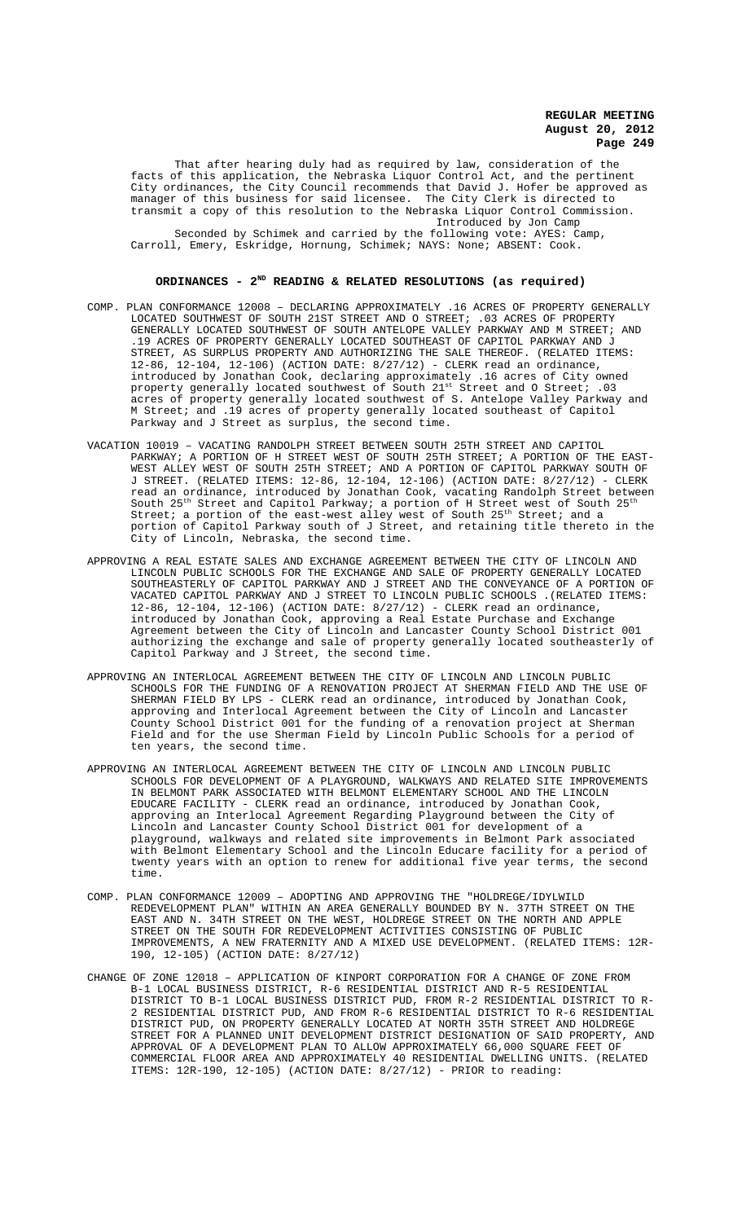That after hearing duly had as required by law, consideration of the facts of this application, the Nebraska Liquor Control Act, and the pertinent City ordinances, the City Council recommends that David J. Hofer be approved as manager of this business for said licensee. The City Clerk is directed to transmit a copy of this resolution to the Nebraska Liquor Control Commission. Introduced by Jon Camp

Seconded by Schimek and carried by the following vote: AYES: Camp, Carroll, Emery, Eskridge, Hornung, Schimek; NAYS: None; ABSENT: Cook.

### **ORDINANCES - 2ND READING & RELATED RESOLUTIONS (as required)**

- COMP. PLAN CONFORMANCE 12008 DECLARING APPROXIMATELY .16 ACRES OF PROPERTY GENERALLY LOCATED SOUTHWEST OF SOUTH 21ST STREET AND O STREET; .03 ACRES OF PROPERTY GENERALLY LOCATED SOUTHWEST OF SOUTH ANTELOPE VALLEY PARKWAY AND M STREET; AND .19 ACRES OF PROPERTY GENERALLY LOCATED SOUTHEAST OF CAPITOL PARKWAY AND J STREET, AS SURPLUS PROPERTY AND AUTHORIZING THE SALE THEREOF. (RELATED ITEMS: 12-86, 12-104, 12-106) (ACTION DATE: 8/27/12) - CLERK read an ordinance, introduced by Jonathan Cook, declaring approximately .16 acres of City owned property generally located southwest of South  $21^{\rm st}$  Street and O Street; .03 acres of property generally located southwest of S. Antelope Valley Parkway and M Street; and .19 acres of property generally located southeast of Capitol Parkway and J Street as surplus, the second time.
- VACATION 10019 VACATING RANDOLPH STREET BETWEEN SOUTH 25TH STREET AND CAPITOL PARKWAY; A PORTION OF H STREET WEST OF SOUTH 25TH STREET; A PORTION OF THE EAST-WEST ALLEY WEST OF SOUTH 25TH STREET; AND A PORTION OF CAPITOL PARKWAY SOUTH OF J STREET. (RELATED ITEMS: 12-86, 12-104, 12-106) (ACTION DATE: 8/27/12) - CLERK read an ordinance, introduced by Jonathan Cook, vacating Randolph Street between South  $25^{\text{th}}$  Street and Capitol Parkway; a portion of H Street west of South  $25^{\text{th}}$ Street; a portion of the east-west alley west of South  $25^{\rm th}$  Street; and a portion of Capitol Parkway south of J Street, and retaining title thereto in the City of Lincoln, Nebraska, the second time.
- APPROVING A REAL ESTATE SALES AND EXCHANGE AGREEMENT BETWEEN THE CITY OF LINCOLN AND LINCOLN PUBLIC SCHOOLS FOR THE EXCHANGE AND SALE OF PROPERTY GENERALLY LOCATED SOUTHEASTERLY OF CAPITOL PARKWAY AND J STREET AND THE CONVEYANCE OF A PORTION OF VACATED CAPITOL PARKWAY AND J STREET TO LINCOLN PUBLIC SCHOOLS .(RELATED ITEMS: 12-86, 12-104, 12-106) (ACTION DATE: 8/27/12) - CLERK read an ordinance, introduced by Jonathan Cook, approving a Real Estate Purchase and Exchange Agreement between the City of Lincoln and Lancaster County School District 001 authorizing the exchange and sale of property generally located southeasterly of Capitol Parkway and J Street, the second time.
- APPROVING AN INTERLOCAL AGREEMENT BETWEEN THE CITY OF LINCOLN AND LINCOLN PUBLIC SCHOOLS FOR THE FUNDING OF A RENOVATION PROJECT AT SHERMAN FIELD AND THE USE OF SHERMAN FIELD BY LPS - CLERK read an ordinance, introduced by Jonathan Cook, approving and Interlocal Agreement between the City of Lincoln and Lancaster County School District 001 for the funding of a renovation project at Sherman Field and for the use Sherman Field by Lincoln Public Schools for a period of ten years, the second time.
- APPROVING AN INTERLOCAL AGREEMENT BETWEEN THE CITY OF LINCOLN AND LINCOLN PUBLIC SCHOOLS FOR DEVELOPMENT OF A PLAYGROUND, WALKWAYS AND RELATED SITE IMPROVEMENTS IN BELMONT PARK ASSOCIATED WITH BELMONT ELEMENTARY SCHOOL AND THE LINCOLN EDUCARE FACILITY - CLERK read an ordinance, introduced by Jonathan Cook, approving an Interlocal Agreement Regarding Playground between the City of Lincoln and Lancaster County School District 001 for development of a playground, walkways and related site improvements in Belmont Park associated with Belmont Elementary School and the Lincoln Educare facility for a period of twenty years with an option to renew for additional five year terms, the second time.
- COMP. PLAN CONFORMANCE 12009 ADOPTING AND APPROVING THE "HOLDREGE/IDYLWILD REDEVELOPMENT PLAN" WITHIN AN AREA GENERALLY BOUNDED BY N. 37TH STREET ON THE EAST AND N. 34TH STREET ON THE WEST, HOLDREGE STREET ON THE NORTH AND APPLE STREET ON THE SOUTH FOR REDEVELOPMENT ACTIVITIES CONSISTING OF PUBLIC IMPROVEMENTS, A NEW FRATERNITY AND A MIXED USE DEVELOPMENT. (RELATED ITEMS: 12R-190, 12-105) (ACTION DATE: 8/27/12)
- CHANGE OF ZONE 12018 APPLICATION OF KINPORT CORPORATION FOR A CHANGE OF ZONE FROM B-1 LOCAL BUSINESS DISTRICT, R-6 RESIDENTIAL DISTRICT AND R-5 RESIDENTIAL DISTRICT TO B-1 LOCAL BUSINESS DISTRICT PUD, FROM R-2 RESIDENTIAL DISTRICT TO R-2 RESIDENTIAL DISTRICT PUD, AND FROM R-6 RESIDENTIAL DISTRICT TO R-6 RESIDENTIAL DISTRICT PUD, ON PROPERTY GENERALLY LOCATED AT NORTH 35TH STREET AND HOLDREGE STREET FOR A PLANNED UNIT DEVELOPMENT DISTRICT DESIGNATION OF SAID PROPERTY, AND APPROVAL OF A DEVELOPMENT PLAN TO ALLOW APPROXIMATELY 66,000 SQUARE FEET OF COMMERCIAL FLOOR AREA AND APPROXIMATELY 40 RESIDENTIAL DWELLING UNITS. (RELATED ITEMS: 12R-190, 12-105) (ACTION DATE: 8/27/12) - PRIOR to reading: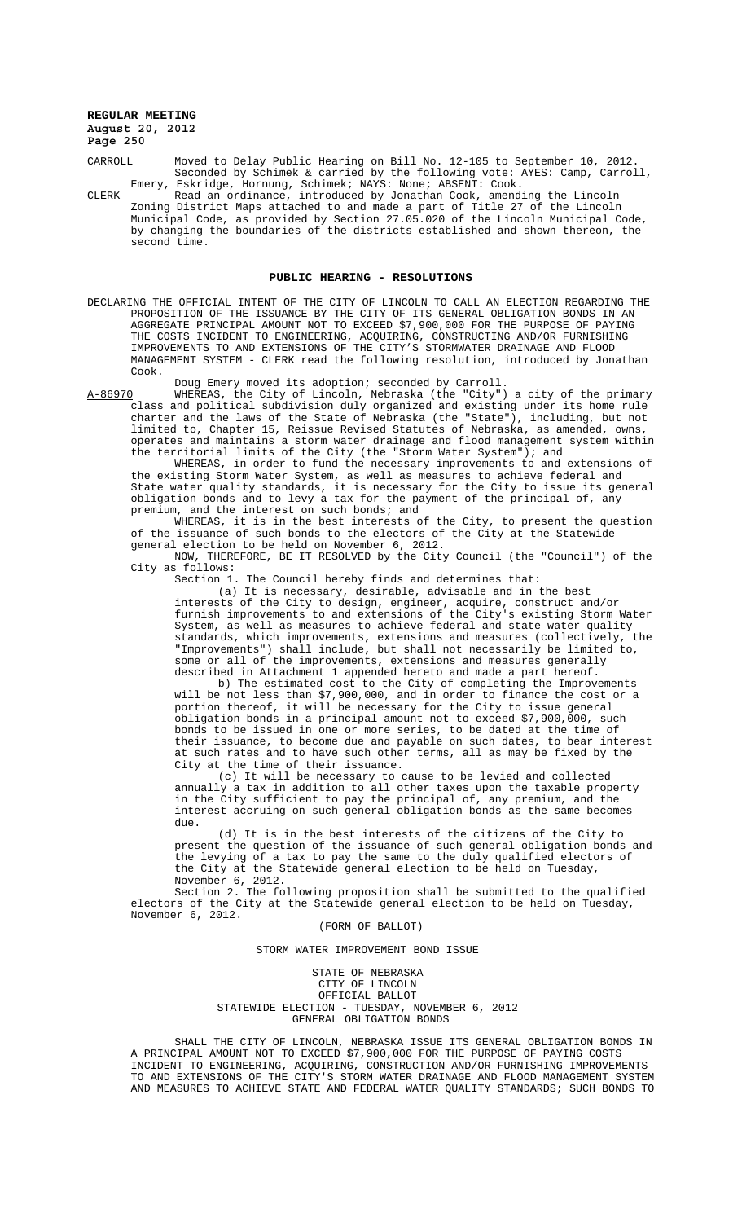CARROLL Moved to Delay Public Hearing on Bill No. 12-105 to September 10, 2012. Seconded by Schimek & carried by the following vote: AYES: Camp, Carroll, Emery, Eskridge, Hornung, Schimek; NAYS: None; ABSENT: Cook.

CLERK Read an ordinance, introduced by Jonathan Cook, amending the Lincoln Zoning District Maps attached to and made a part of Title 27 of the Lincoln Municipal Code, as provided by Section 27.05.020 of the Lincoln Municipal Code, by changing the boundaries of the districts established and shown thereon, the second time.

#### **PUBLIC HEARING - RESOLUTIONS**

DECLARING THE OFFICIAL INTENT OF THE CITY OF LINCOLN TO CALL AN ELECTION REGARDING THE PROPOSITION OF THE ISSUANCE BY THE CITY OF ITS GENERAL OBLIGATION BONDS IN AN AGGREGATE PRINCIPAL AMOUNT NOT TO EXCEED \$7,900,000 FOR THE PURPOSE OF PAYING THE COSTS INCIDENT TO ENGINEERING, ACQUIRING, CONSTRUCTING AND/OR FURNISHING IMPROVEMENTS TO AND EXTENSIONS OF THE CITY'S STORMWATER DRAINAGE AND FLOOD MANAGEMENT SYSTEM - CLERK read the following resolution, introduced by Jonathan Cook.

Doug Emery moved its adoption; seconded by Carroll.

A-86970 WHEREAS, the City of Lincoln, Nebraska (the "City") a city of the primary class and political subdivision duly organized and existing under its home rule charter and the laws of the State of Nebraska (the "State"), including, but not limited to, Chapter 15, Reissue Revised Statutes of Nebraska, as amended, owns, operates and maintains a storm water drainage and flood management system within the territorial limits of the City (the "Storm Water System"); and

WHEREAS, in order to fund the necessary improvements to and extensions of the existing Storm Water System, as well as measures to achieve federal and State water quality standards, it is necessary for the City to issue its general obligation bonds and to levy a tax for the payment of the principal of, any premium, and the interest on such bonds; and

WHEREAS, it is in the best interests of the City, to present the question of the issuance of such bonds to the electors of the City at the Statewide general election to be held on November 6, 2012.

NOW, THEREFORE, BE IT RESOLVED by the City Council (the "Council") of the City as follows:

Section 1. The Council hereby finds and determines that:

(a) It is necessary, desirable, advisable and in the best interests of the City to design, engineer, acquire, construct and/or furnish improvements to and extensions of the City's existing Storm Water System, as well as measures to achieve federal and state water quality standards, which improvements, extensions and measures (collectively, the "Improvements") shall include, but shall not necessarily be limited to, some or all of the improvements, extensions and measures generally described in Attachment 1 appended hereto and made a part hereof.

b) The estimated cost to the City of completing the Improvements will be not less than \$7,900,000, and in order to finance the cost or a portion thereof, it will be necessary for the City to issue general obligation bonds in a principal amount not to exceed \$7,900,000, such bonds to be issued in one or more series, to be dated at the time of their issuance, to become due and payable on such dates, to bear interest at such rates and to have such other terms, all as may be fixed by the City at the time of their issuance.

(c) It will be necessary to cause to be levied and collected annually a tax in addition to all other taxes upon the taxable property in the City sufficient to pay the principal of, any premium, and the interest accruing on such general obligation bonds as the same becomes due.

(d) It is in the best interests of the citizens of the City to present the question of the issuance of such general obligation bonds and the levying of a tax to pay the same to the duly qualified electors of the City at the Statewide general election to be held on Tuesday, November 6, 2012.

 Section 2. The following proposition shall be submitted to the qualified electors of the City at the Statewide general election to be held on Tuesday, November 6, 2012.

#### (FORM OF BALLOT)

#### STORM WATER IMPROVEMENT BOND ISSUE

STATE OF NEBRASKA CITY OF LINCOLN OFFICIAL BALLOT STATEWIDE ELECTION - TUESDAY, NOVEMBER 6, 2012 GENERAL OBLIGATION BONDS

SHALL THE CITY OF LINCOLN, NEBRASKA ISSUE ITS GENERAL OBLIGATION BONDS IN A PRINCIPAL AMOUNT NOT TO EXCEED \$7,900,000 FOR THE PURPOSE OF PAYING COSTS INCIDENT TO ENGINEERING, ACQUIRING, CONSTRUCTION AND/OR FURNISHING IMPROVEMENTS TO AND EXTENSIONS OF THE CITY'S STORM WATER DRAINAGE AND FLOOD MANAGEMENT SYSTEM AND MEASURES TO ACHIEVE STATE AND FEDERAL WATER QUALITY STANDARDS; SUCH BONDS TO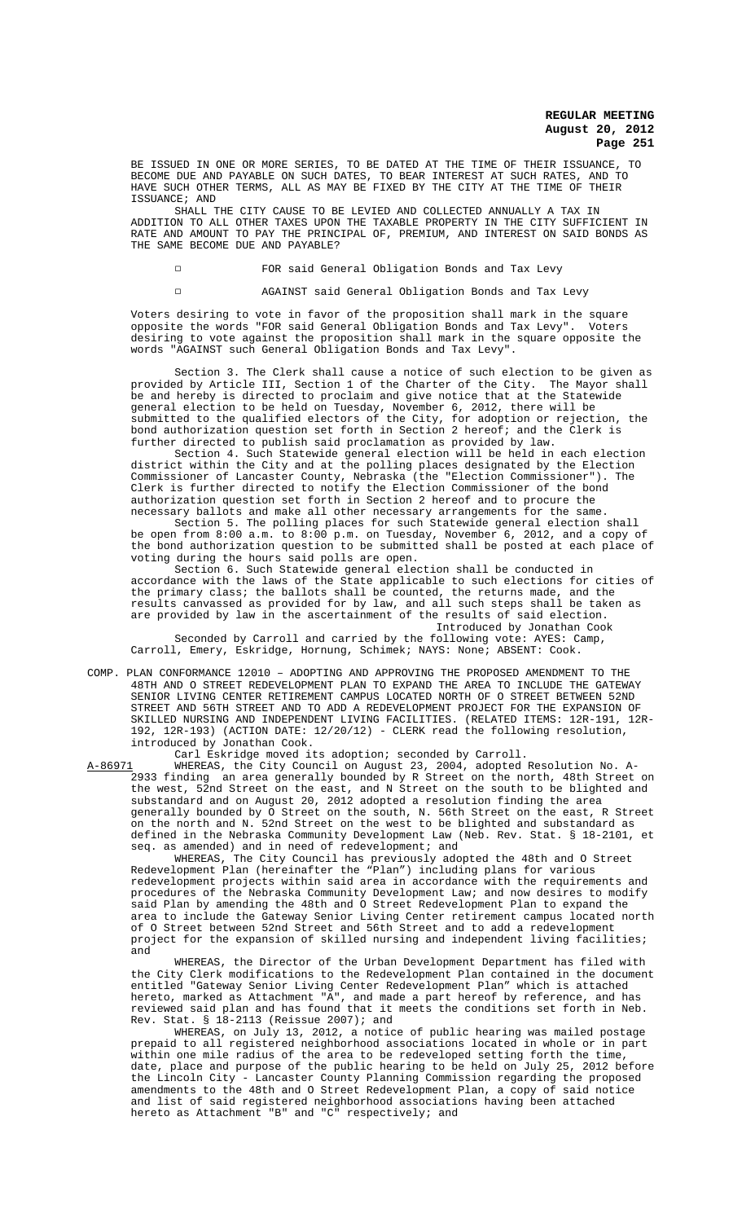BE ISSUED IN ONE OR MORE SERIES, TO BE DATED AT THE TIME OF THEIR ISSUANCE, TO BECOME DUE AND PAYABLE ON SUCH DATES, TO BEAR INTEREST AT SUCH RATES, AND TO HAVE SUCH OTHER TERMS, ALL AS MAY BE FIXED BY THE CITY AT THE TIME OF THEIR ISSUANCE; AND

SHALL THE CITY CAUSE TO BE LEVIED AND COLLECTED ANNUALLY A TAX IN ADDITION TO ALL OTHER TAXES UPON THE TAXABLE PROPERTY IN THE CITY SUFFICIENT IN RATE AND AMOUNT TO PAY THE PRINCIPAL OF, PREMIUM, AND INTEREST ON SAID BONDS AS THE SAME BECOME DUE AND PAYABLE?

9 FOR said General Obligation Bonds and Tax Levy

9 AGAINST said General Obligation Bonds and Tax Levy

Voters desiring to vote in favor of the proposition shall mark in the square opposite the words "FOR said General Obligation Bonds and Tax Levy". Voters desiring to vote against the proposition shall mark in the square opposite the words "AGAINST such General Obligation Bonds and Tax Levy".

Section 3. The Clerk shall cause a notice of such election to be given as<br>ed by Article III, Section 1 of the Charter of the City. The Mayor shall provided by Article III, Section 1 of the Charter of the City. The Mayor shall be and hereby is directed to proclaim and give notice that at the Statewide general election to be held on Tuesday, November 6, 2012, there will be submitted to the qualified electors of the City, for adoption or rejection, the bond authorization question set forth in Section 2 hereof; and the Clerk is further directed to publish said proclamation as provided by law.

Section 4. Such Statewide general election will be held in each election district within the City and at the polling places designated by the Election Commissioner of Lancaster County, Nebraska (the "Election Commissioner"). The Clerk is further directed to notify the Election Commissioner of the bond authorization question set forth in Section 2 hereof and to procure the necessary ballots and make all other necessary arrangements for the same.

Section 5. The polling places for such Statewide general election shall be open from 8:00 a.m. to 8:00 p.m. on Tuesday, November 6, 2012, and a copy of the bond authorization question to be submitted shall be posted at each place of voting during the hours said polls are open.

Section 6. Such Statewide general election shall be conducted in accordance with the laws of the State applicable to such elections for cities of the primary class; the ballots shall be counted, the returns made, and the results canvassed as provided for by law, and all such steps shall be taken as are provided by law in the ascertainment of the results of said election. Introduced by Jonathan Cook

Seconded by Carroll and carried by the following vote: AYES: Camp, Carroll, Emery, Eskridge, Hornung, Schimek; NAYS: None; ABSENT: Cook.

COMP. PLAN CONFORMANCE 12010 – ADOPTING AND APPROVING THE PROPOSED AMENDMENT TO THE 48TH AND O STREET REDEVELOPMENT PLAN TO EXPAND THE AREA TO INCLUDE THE GATEWAY SENIOR LIVING CENTER RETIREMENT CAMPUS LOCATED NORTH OF O STREET BETWEEN 52ND STREET AND 56TH STREET AND TO ADD A REDEVELOPMENT PROJECT FOR THE EXPANSION OF SKILLED NURSING AND INDEPENDENT LIVING FACILITIES. (RELATED ITEMS: 12R-191, 12R-192, 12R-193) (ACTION DATE: 12/20/12) - CLERK read the following resolution, introduced by Jonathan Cook.

Carl Eskridge moved its adoption; seconded by Carroll.

A-86971 WHEREAS, the City Council on August 23, 2004, adopted Resolution No. A-2933 finding an area generally bounded by R Street on the north, 48th Street on the west, 52nd Street on the east, and N Street on the south to be blighted and substandard and on August 20, 2012 adopted a resolution finding the area generally bounded by O Street on the south, N. 56th Street on the east, R Street on the north and N. 52nd Street on the west to be blighted and substandard as defined in the Nebraska Community Development Law (Neb. Rev. Stat. § 18-2101, et seq. as amended) and in need of redevelopment; and

WHEREAS, The City Council has previously adopted the 48th and O Street Redevelopment Plan (hereinafter the "Plan") including plans for various redevelopment projects within said area in accordance with the requirements and procedures of the Nebraska Community Development Law; and now desires to modify said Plan by amending the 48th and O Street Redevelopment Plan to expand the area to include the Gateway Senior Living Center retirement campus located north of O Street between 52nd Street and 56th Street and to add a redevelopment project for the expansion of skilled nursing and independent living facilities; and

WHEREAS, the Director of the Urban Development Department has filed with the City Clerk modifications to the Redevelopment Plan contained in the document entitled "Gateway Senior Living Center Redevelopment Plan" which is attached hereto, marked as Attachment "A", and made a part hereof by reference, and has reviewed said plan and has found that it meets the conditions set forth in Neb. Rev. Stat. § 18-2113 (Reissue 2007); and

WHEREAS, on July 13, 2012, a notice of public hearing was mailed postage prepaid to all registered neighborhood associations located in whole or in part within one mile radius of the area to be redeveloped setting forth the time, date, place and purpose of the public hearing to be held on July 25, 2012 before the Lincoln City - Lancaster County Planning Commission regarding the proposed amendments to the 48th and O Street Redevelopment Plan, a copy of said notice and list of said registered neighborhood associations having been attached hereto as Attachment "B" and "C" respectively; and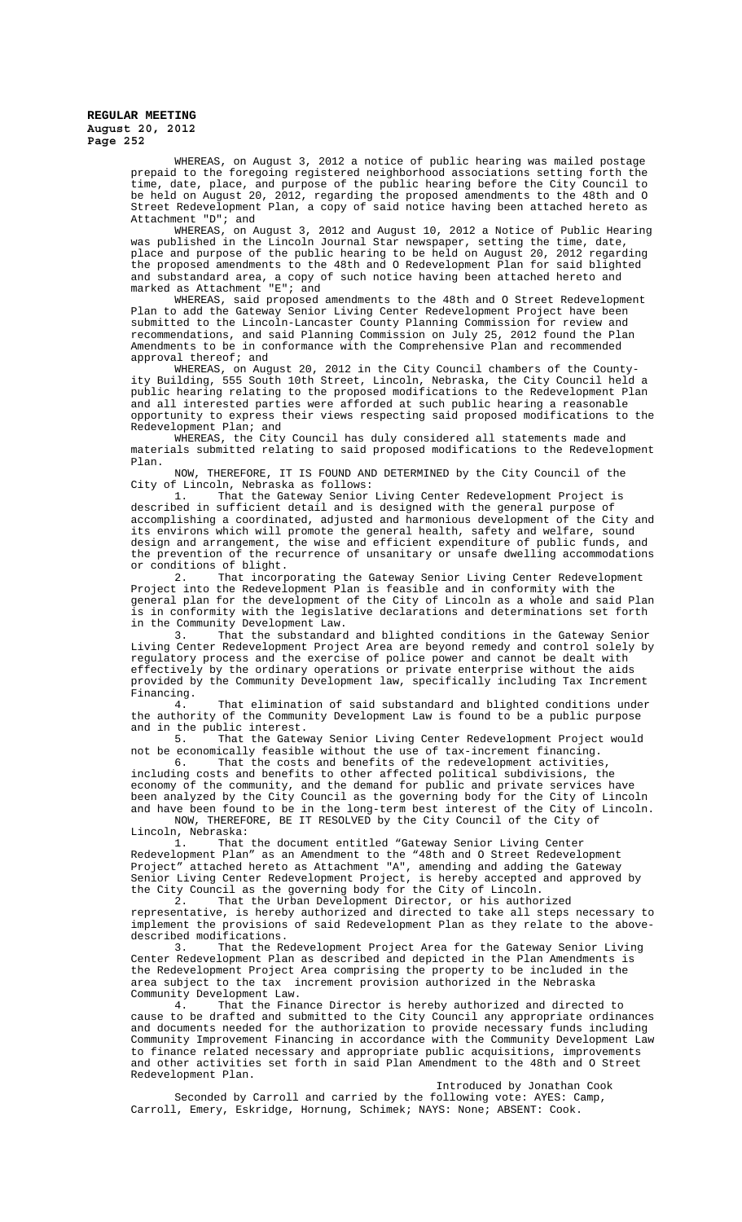WHEREAS, on August 3, 2012 a notice of public hearing was mailed postage prepaid to the foregoing registered neighborhood associations setting forth the time, date, place, and purpose of the public hearing before the City Council to be held on August 20, 2012, regarding the proposed amendments to the 48th and O Street Redevelopment Plan, a copy of said notice having been attached hereto as Attachment "D"; and

WHEREAS, on August 3, 2012 and August 10, 2012 a Notice of Public Hearing was published in the Lincoln Journal Star newspaper, setting the time, date, place and purpose of the public hearing to be held on August 20, 2012 regarding the proposed amendments to the 48th and O Redevelopment Plan for said blighted and substandard area, a copy of such notice having been attached hereto and marked as Attachment "E"; and

WHEREAS, said proposed amendments to the 48th and O Street Redevelopment Plan to add the Gateway Senior Living Center Redevelopment Project have been submitted to the Lincoln-Lancaster County Planning Commission for review and recommendations, and said Planning Commission on July 25, 2012 found the Plan Amendments to be in conformance with the Comprehensive Plan and recommended approval thereof; and

WHEREAS, on August 20, 2012 in the City Council chambers of the Countyity Building, 555 South 10th Street, Lincoln, Nebraska, the City Council held a public hearing relating to the proposed modifications to the Redevelopment Plan and all interested parties were afforded at such public hearing a reasonable opportunity to express their views respecting said proposed modifications to the Redevelopment Plan; and

WHEREAS, the City Council has duly considered all statements made and materials submitted relating to said proposed modifications to the Redevelopment Plan.

NOW, THEREFORE, IT IS FOUND AND DETERMINED by the City Council of the City of Lincoln, Nebraska as follows:<br>1. That the Gateway Senior

That the Gateway Senior Living Center Redevelopment Project is described in sufficient detail and is designed with the general purpose of accomplishing a coordinated, adjusted and harmonious development of the City and its environs which will promote the general health, safety and welfare, sound design and arrangement, the wise and efficient expenditure of public funds, and the prevention of the recurrence of unsanitary or unsafe dwelling accommodations or conditions of blight.<br>2. That incorp

That incorporating the Gateway Senior Living Center Redevelopment Project into the Redevelopment Plan is feasible and in conformity with the general plan for the development of the City of Lincoln as a whole and said Plan is in conformity with the legislative declarations and determinations set forth in the Community Development Law.

3. That the substandard and blighted conditions in the Gateway Senior Living Center Redevelopment Project Area are beyond remedy and control solely by regulatory process and the exercise of police power and cannot be dealt with effectively by the ordinary operations or private enterprise without the aids provided by the Community Development law, specifically including Tax Increment Financing.<br>4.

That elimination of said substandard and blighted conditions under the authority of the Community Development Law is found to be a public purpose and in the public interest.<br>5. That the Gatew

That the Gateway Senior Living Center Redevelopment Project would not be economically feasible without the use of tax-increment financing.

6. That the costs and benefits of the redevelopment activities, including costs and benefits to other affected political subdivisions, the economy of the community, and the demand for public and private services have been analyzed by the City Council as the governing body for the City of Lincoln and have been found to be in the long-term best interest of the City of Lincoln.

NOW, THEREFORE, BE IT RESOLVED by the City Council of the City of Lincoln, Nebraska:

1. That the document entitled "Gateway Senior Living Center Redevelopment Plan" as an Amendment to the "48th and O Street Redevelopment Project" attached hereto as Attachment "A", amending and adding the Gateway Senior Living Center Redevelopment Project, is hereby accepted and approved by the City Council as the governing body for the City of Lincoln.

2. That the Urban Development Director, or his authorized representative, is hereby authorized and directed to take all steps necessary to implement the provisions of said Redevelopment Plan as they relate to the abovedescribed modifications.<br>3. That the Re

That the Redevelopment Project Area for the Gateway Senior Living Center Redevelopment Plan as described and depicted in the Plan Amendments is the Redevelopment Project Area comprising the property to be included in the area subject to the tax increment provision authorized in the Nebraska Community Development Law.<br>4. That the Fina

That the Finance Director is hereby authorized and directed to cause to be drafted and submitted to the City Council any appropriate ordinances and documents needed for the authorization to provide necessary funds including Community Improvement Financing in accordance with the Community Development Law to finance related necessary and appropriate public acquisitions, improvements and other activities set forth in said Plan Amendment to the 48th and O Street Redevelopment Plan.

Introduced by Jonathan Cook

Seconded by Carroll and carried by the following vote: AYES: Camp, Carroll, Emery, Eskridge, Hornung, Schimek; NAYS: None; ABSENT: Cook.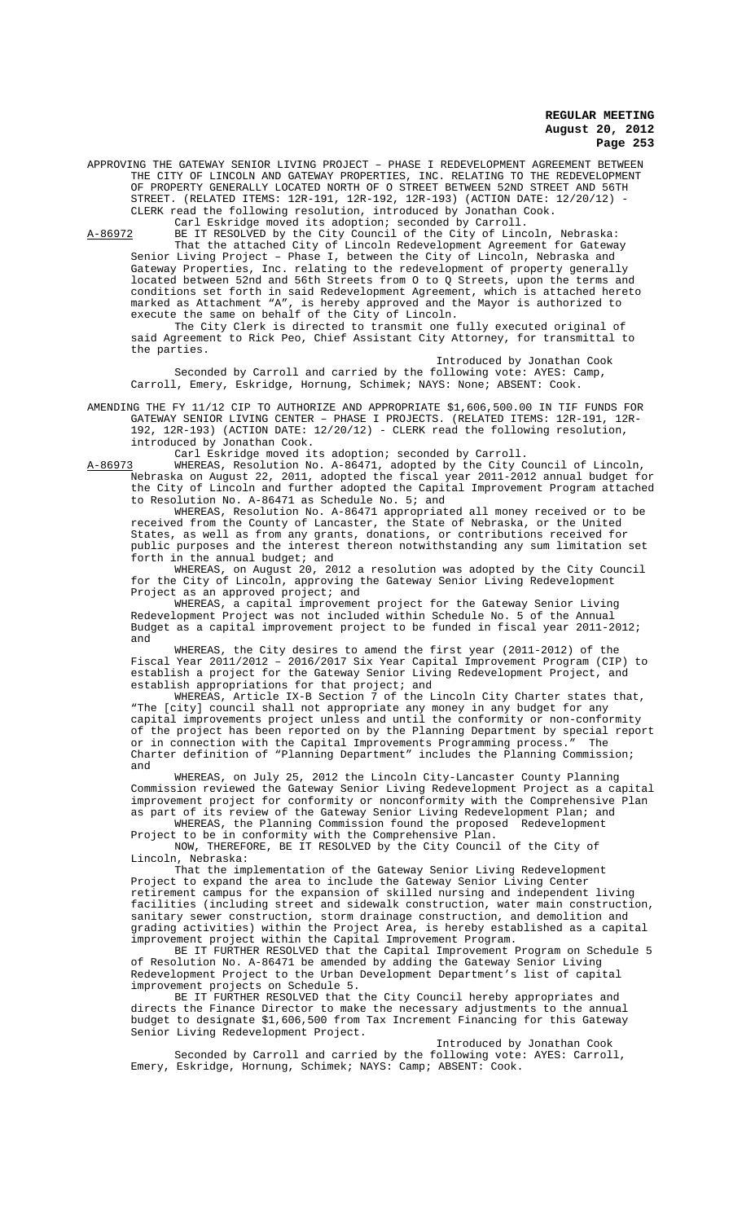APPROVING THE GATEWAY SENIOR LIVING PROJECT – PHASE I REDEVELOPMENT AGREEMENT BETWEEN THE CITY OF LINCOLN AND GATEWAY PROPERTIES, INC. RELATING TO THE REDEVELOPMENT OF PROPERTY GENERALLY LOCATED NORTH OF O STREET BETWEEN 52ND STREET AND 56TH STREET. (RELATED ITEMS: 12R-191, 12R-192, 12R-193) (ACTION DATE: 12/20/12) CLERK read the following resolution, introduced by Jonathan Cook. Carl Eskridge moved its adoption; seconded by Carroll.

A-86972 BE IT RESOLVED by the City Council of the City of Lincoln, Nebraska: That the attached City of Lincoln Redevelopment Agreement for Gateway Senior Living Project – Phase I, between the City of Lincoln, Nebraska and Gateway Properties, Inc. relating to the redevelopment of property generally located between 52nd and 56th Streets from 0 to  $Q$  Streets, upon the terms and conditions set forth in said Redevelopment Agreement, which is attached hereto marked as Attachment "A", is hereby approved and the Mayor is authorized to execute the same on behalf of the City of Lincoln.

The City Clerk is directed to transmit one fully executed original of said Agreement to Rick Peo, Chief Assistant City Attorney, for transmittal to the parties.

Introduced by Jonathan Cook Seconded by Carroll and carried by the following vote: AYES: Camp, Carroll, Emery, Eskridge, Hornung, Schimek; NAYS: None; ABSENT: Cook.

AMENDING THE FY 11/12 CIP TO AUTHORIZE AND APPROPRIATE \$1,606,500.00 IN TIF FUNDS FOR GATEWAY SENIOR LIVING CENTER – PHASE I PROJECTS. (RELATED ITEMS: 12R-191, 12R-192, 12R-193) (ACTION DATE: 12/20/12) - CLERK read the following resolution, introduced by Jonathan Cook.

Carl Eskridge moved its adoption; seconded by Carroll.

A-86973 WHEREAS, Resolution No. A-86471, adopted by the City Council of Lincoln, Nebraska on August 22, 2011, adopted the fiscal year 2011-2012 annual budget for the City of Lincoln and further adopted the Capital Improvement Program attached to Resolution No. A-86471 as Schedule No. 5; and

WHEREAS, Resolution No. A-86471 appropriated all money received or to be received from the County of Lancaster, the State of Nebraska, or the United States, as well as from any grants, donations, or contributions received for public purposes and the interest thereon notwithstanding any sum limitation set forth in the annual budget; and

WHEREAS, on August 20, 2012 a resolution was adopted by the City Council for the City of Lincoln, approving the Gateway Senior Living Redevelopment Project as an approved project; and

WHEREAS, a capital improvement project for the Gateway Senior Living Redevelopment Project was not included within Schedule No. 5 of the Annual Budget as a capital improvement project to be funded in fiscal year 2011-2012; and

WHEREAS, the City desires to amend the first year (2011-2012) of the Fiscal Year 2011/2012 – 2016/2017 Six Year Capital Improvement Program (CIP) to establish a project for the Gateway Senior Living Redevelopment Project, and establish appropriations for that project; and

WHEREAS, Article IX-B Section  $\overline{7}$  of the Lincoln City Charter states that, "The [city] council shall not appropriate any money in any budget for any capital improvements project unless and until the conformity or non-conformity of the project has been reported on by the Planning Department by special report or in connection with the Capital Improvements Programming process." The Charter definition of "Planning Department" includes the Planning Commission; and

WHEREAS, on July 25, 2012 the Lincoln City-Lancaster County Planning Commission reviewed the Gateway Senior Living Redevelopment Project as a capital improvement project for conformity or nonconformity with the Comprehensive Plan as part of its review of the Gateway Senior Living Redevelopment Plan; and

WHEREAS, the Planning Commission found the proposed Redevelopment Project to be in conformity with the Comprehensive Plan.

NOW, THEREFORE, BE IT RESOLVED by the City Council of the City of Lincoln, Nebraska:

That the implementation of the Gateway Senior Living Redevelopment Project to expand the area to include the Gateway Senior Living Center retirement campus for the expansion of skilled nursing and independent living facilities (including street and sidewalk construction, water main construction, sanitary sewer construction, storm drainage construction, and demolition and grading activities) within the Project Area, is hereby established as a capital improvement project within the Capital Improvement Program.

BE IT FURTHER RESOLVED that the Capital Improvement Program on Schedule 5 of Resolution No. A-86471 be amended by adding the Gateway Senior Living Redevelopment Project to the Urban Development Department's list of capital improvement projects on Schedule 5.

BE IT FURTHER RESOLVED that the City Council hereby appropriates and directs the Finance Director to make the necessary adjustments to the annual budget to designate \$1,606,500 from Tax Increment Financing for this Gateway Senior Living Redevelopment Project.

Introduced by Jonathan Cook Seconded by Carroll and carried by the following vote: AYES: Carroll, Emery, Eskridge, Hornung, Schimek; NAYS: Camp; ABSENT: Cook.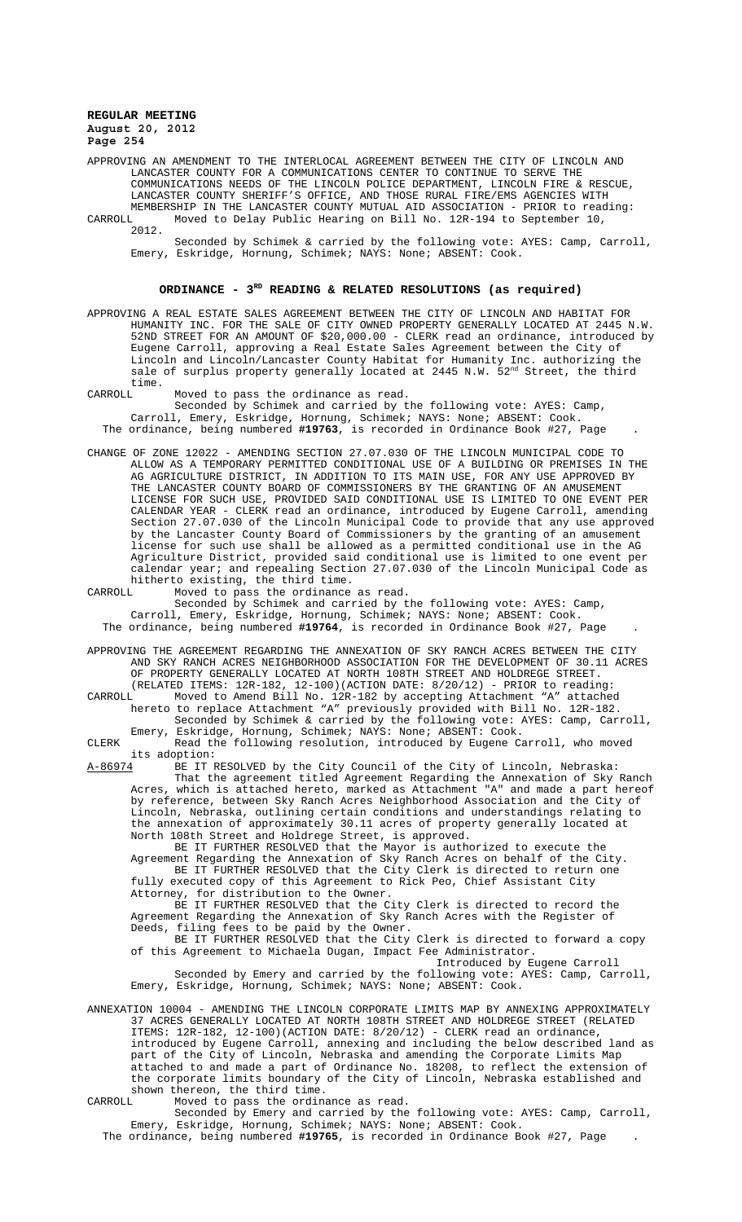APPROVING AN AMENDMENT TO THE INTERLOCAL AGREEMENT BETWEEN THE CITY OF LINCOLN AND LANCASTER COUNTY FOR A COMMUNICATIONS CENTER TO CONTINUE TO SERVE THE COMMUNICATIONS NEEDS OF THE LINCOLN POLICE DEPARTMENT, LINCOLN FIRE & RESCUE, LANCASTER COUNTY SHERIFF'S OFFICE, AND THOSE RURAL FIRE/EMS AGENCIES WITH MEMBERSHIP IN THE LANCASTER COUNTY MUTUAL AID ASSOCIATION - PRIOR to reading: CARROLL Moved to Delay Public Hearing on Bill No. 12R-194 to September 10, 2012.

Seconded by Schimek & carried by the following vote: AYES: Camp, Carroll, Emery, Eskridge, Hornung, Schimek; NAYS: None; ABSENT: Cook.

# ORDINANCE - 3<sup>RD</sup> READING & RELATED RESOLUTIONS (as required)

APPROVING A REAL ESTATE SALES AGREEMENT BETWEEN THE CITY OF LINCOLN AND HABITAT FOR HUMANITY INC. FOR THE SALE OF CITY OWNED PROPERTY GENERALLY LOCATED AT 2445 N.W. 52ND STREET FOR AN AMOUNT OF \$20,000.00 - CLERK read an ordinance, introduced by Eugene Carroll, approving a Real Estate Sales Agreement between the City of Lincoln and Lincoln/Lancaster County Habitat for Humanity Inc. authorizing the sale of surplus property generally located at 2445 N.W.  $52^{nd}$  Street, the third time.<br>CARROLL

Moved to pass the ordinance as read. Seconded by Schimek and carried by the following vote: AYES: Camp, Carroll, Emery, Eskridge, Hornung, Schimek; NAYS: None; ABSENT: Cook. The ordinance, being numbered **#19763**, is recorded in Ordinance Book #27, Page .

CHANGE OF ZONE 12022 - AMENDING SECTION 27.07.030 OF THE LINCOLN MUNICIPAL CODE TO ALLOW AS A TEMPORARY PERMITTED CONDITIONAL USE OF A BUILDING OR PREMISES IN THE AG AGRICULTURE DISTRICT, IN ADDITION TO ITS MAIN USE, FOR ANY USE APPROVED BY THE LANCASTER COUNTY BOARD OF COMMISSIONERS BY THE GRANTING OF AN AMUSEMENT LICENSE FOR SUCH USE, PROVIDED SAID CONDITIONAL USE IS LIMITED TO ONE EVENT PER CALENDAR YEAR - CLERK read an ordinance, introduced by Eugene Carroll, amending Section 27.07.030 of the Lincoln Municipal Code to provide that any use approved by the Lancaster County Board of Commissioners by the granting of an amusement license for such use shall be allowed as a permitted conditional use in the AG Agriculture District, provided said conditional use is limited to one event per calendar year; and repealing Section 27.07.030 of the Lincoln Municipal Code as hitherto existing, the third time.<br>CARROLL Moved to pass the ordinance

Moved to pass the ordinance as read. Seconded by Schimek and carried by the following vote: AYES: Camp, Carroll, Emery, Eskridge, Hornung, Schimek; NAYS: None; ABSENT: Cook. The ordinance, being numbered **#19764**, is recorded in Ordinance Book #27, Page .

APPROVING THE AGREEMENT REGARDING THE ANNEXATION OF SKY RANCH ACRES BETWEEN THE CITY AND SKY RANCH ACRES NEIGHBORHOOD ASSOCIATION FOR THE DEVELOPMENT OF 30.11 ACRES OF PROPERTY GENERALLY LOCATED AT NORTH 108TH STREET AND HOLDREGE STREET. (RELATED ITEMS: 12R-182, 12-100)(ACTION DATE: 8/20/12) - PRIOR to reading:

CARROLL Moved to Amend Bill No. 12R-182 by accepting Attachment "A" attached hereto to replace Attachment "A" previously provided with Bill No. 12R-182. Seconded by Schimek & carried by the following vote: AYES: Camp, Carroll,

Emery, Eskridge, Hornung, Schimek; NAYS: None; ABSENT: Cook. CLERK Read the following resolution, introduced by Eugene Carroll, who moved

its adoption:<br>A-86974 BE IT F BE IT RESOLVED by the City Council of the City of Lincoln, Nebraska: That the agreement titled Agreement Regarding the Annexation of Sky Ranch Acres, which is attached hereto, marked as Attachment "A" and made a part hereof by reference, between Sky Ranch Acres Neighborhood Association and the City of Lincoln, Nebraska, outlining certain conditions and understandings relating to the annexation of approximately 30.11 acres of property generally located at North 108th Street and Holdrege Street, is approved.

 BE IT FURTHER RESOLVED that the Mayor is authorized to execute the Agreement Regarding the Annexation of Sky Ranch Acres on behalf of the City. BE IT FURTHER RESOLVED that the City Clerk is directed to return one fully executed copy of this Agreement to Rick Peo, Chief Assistant City Attorney, for distribution to the Owner.

BE IT FURTHER RESOLVED that the City Clerk is directed to record the Agreement Regarding the Annexation of Sky Ranch Acres with the Register of Deeds, filing fees to be paid by the Owner.

BE IT FURTHER RESOLVED that the City Clerk is directed to forward a copy of this Agreement to Michaela Dugan, Impact Fee Administrator.

Introduced by Eugene Carroll Seconded by Emery and carried by the following vote: AYES: Camp, Carroll, Emery, Eskridge, Hornung, Schimek; NAYS: None; ABSENT: Cook.

ANNEXATION 10004 - AMENDING THE LINCOLN CORPORATE LIMITS MAP BY ANNEXING APPROXIMATELY 37 ACRES GENERALLY LOCATED AT NORTH 108TH STREET AND HOLDREGE STREET (RELATED ITEMS: 12R-182, 12-100)(ACTION DATE: 8/20/12) - CLERK read an ordinance, introduced by Eugene Carroll, annexing and including the below described land as part of the City of Lincoln, Nebraska and amending the Corporate Limits Map attached to and made a part of Ordinance No. 18208, to reflect the extension of the corporate limits boundary of the City of Lincoln, Nebraska established and shown thereon, the third time.<br>CARROLL Moved to pass the ordina

CARROLL Moved to pass the ordinance as read.

Seconded by Emery and carried by the following vote: AYES: Camp, Carroll, Emery, Eskridge, Hornung, Schimek; NAYS: None; ABSENT: Cook.

The ordinance, being numbered **#19765**, is recorded in Ordinance Book #27, Page .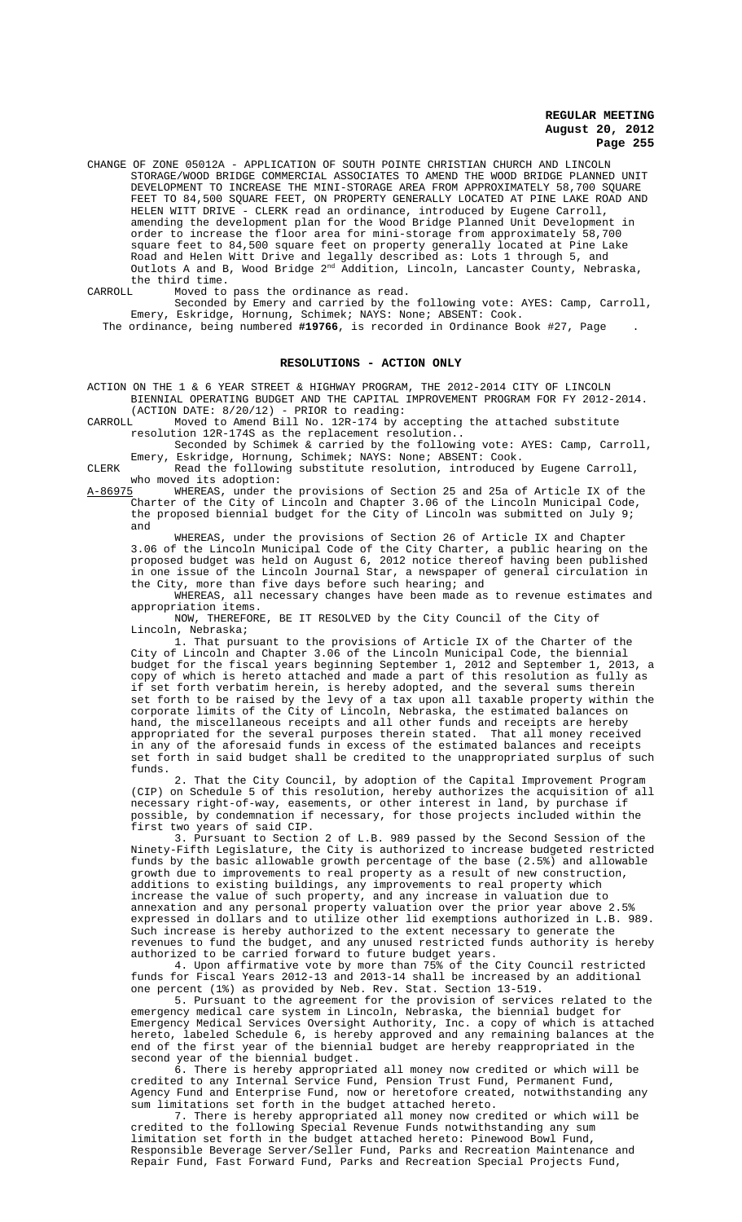CHANGE OF ZONE 05012A - APPLICATION OF SOUTH POINTE CHRISTIAN CHURCH AND LINCOLN STORAGE/WOOD BRIDGE COMMERCIAL ASSOCIATES TO AMEND THE WOOD BRIDGE PLANNED UNIT DEVELOPMENT TO INCREASE THE MINI-STORAGE AREA FROM APPROXIMATELY 58,700 SQUARE FEET TO 84,500 SQUARE FEET, ON PROPERTY GENERALLY LOCATED AT PINE LAKE ROAD AND HELEN WITT DRIVE - CLERK read an ordinance, introduced by Eugene Carroll, amending the development plan for the Wood Bridge Planned Unit Development in order to increase the floor area for mini-storage from approximately 58,700 square feet to 84,500 square feet on property generally located at Pine Lake Road and Helen Witt Drive and legally described as: Lots 1 through 5, and Outlots A and B, Wood Bridge 2<sup>nd</sup> Addition, Lincoln, Lancaster County, Nebraska, the third time.<br>CARROLL Moved to

Moved to pass the ordinance as read.

Seconded by Emery and carried by the following vote: AYES: Camp, Carroll, Emery, Eskridge, Hornung, Schimek; NAYS: None; ABSENT: Cook. The ordinance, being numbered **#19766**, is recorded in Ordinance Book #27, Page .

#### **RESOLUTIONS - ACTION ONLY**

ACTION ON THE 1 & 6 YEAR STREET & HIGHWAY PROGRAM, THE 2012-2014 CITY OF LINCOLN BIENNIAL OPERATING BUDGET AND THE CAPITAL IMPROVEMENT PROGRAM FOR FY 2012-2014.

(ACTION DATE:  $8/20/12$ ) - PRIOR to reading:<br>CARROLL Moved to Amend Bill No. 12R-174 by a Moved to Amend Bill No. 12R-174 by accepting the attached substitute resolution 12R-174S as the replacement resolution..

Seconded by Schimek & carried by the following vote: AYES: Camp, Carroll, Emery, Eskridge, Hornung, Schimek; NAYS: None; ABSENT: Cook.

CLERK Read the following substitute resolution, introduced by Eugene Carroll, who moved its adoption:<br><u>A-86975</u> WHEREAS, under tl

A-86975 WHEREAS, under the provisions of Section 25 and 25a of Article IX of the Charter of the City of Lincoln and Chapter 3.06 of the Lincoln Municipal Code, the proposed biennial budget for the City of Lincoln was submitted on July 9; and

WHEREAS, under the provisions of Section 26 of Article IX and Chapter 3.06 of the Lincoln Municipal Code of the City Charter, a public hearing on the proposed budget was held on August 6, 2012 notice thereof having been published in one issue of the Lincoln Journal Star, a newspaper of general circulation in the City, more than five days before such hearing; and

WHEREAS, all necessary changes have been made as to revenue estimates and appropriation items.

NOW, THEREFORE, BE IT RESOLVED by the City Council of the City of Lincoln, Nebraska;

1. That pursuant to the provisions of Article IX of the Charter of the City of Lincoln and Chapter 3.06 of the Lincoln Municipal Code, the biennial budget for the fiscal years beginning September 1, 2012 and September 1, 2013, a copy of which is hereto attached and made a part of this resolution as fully as if set forth verbatim herein, is hereby adopted, and the several sums therein set forth to be raised by the levy of a tax upon all taxable property within the corporate limits of the City of Lincoln, Nebraska, the estimated balances on hand, the miscellaneous receipts and all other funds and receipts are hereby appropriated for the several purposes therein stated. That all money received in any of the aforesaid funds in excess of the estimated balances and receipts set forth in said budget shall be credited to the unappropriated surplus of such funds.

2. That the City Council, by adoption of the Capital Improvement Program (CIP) on Schedule 5 of this resolution, hereby authorizes the acquisition of all necessary right-of-way, easements, or other interest in land, by purchase if possible, by condemnation if necessary, for those projects included within the first two years of said CIP.

3. Pursuant to Section 2 of L.B. 989 passed by the Second Session of the Ninety-Fifth Legislature, the City is authorized to increase budgeted restricted funds by the basic allowable growth percentage of the base (2.5%) and allowable growth due to improvements to real property as a result of new construction, additions to existing buildings, any improvements to real property which increase the value of such property, and any increase in valuation due to annexation and any personal property valuation over the prior year above 2.5% expressed in dollars and to utilize other lid exemptions authorized in L.B. 989. Such increase is hereby authorized to the extent necessary to generate the revenues to fund the budget, and any unused restricted funds authority is hereby authorized to be carried forward to future budget years.

4. Upon affirmative vote by more than 75% of the City Council restricted funds for Fiscal Years 2012-13 and 2013-14 shall be increased by an additional one percent (1%) as provided by Neb. Rev. Stat. Section 13-519.

5. Pursuant to the agreement for the provision of services related to the emergency medical care system in Lincoln, Nebraska, the biennial budget for Emergency Medical Services Oversight Authority, Inc. a copy of which is attached hereto, labeled Schedule 6, is hereby approved and any remaining balances at the end of the first year of the biennial budget are hereby reappropriated in the second year of the biennial budget.

6. There is hereby appropriated all money now credited or which will be credited to any Internal Service Fund, Pension Trust Fund, Permanent Fund, Agency Fund and Enterprise Fund, now or heretofore created, notwithstanding any sum limitations set forth in the budget attached hereto.

7. There is hereby appropriated all money now credited or which will be credited to the following Special Revenue Funds notwithstanding any sum limitation set forth in the budget attached hereto: Pinewood Bowl Fund, Responsible Beverage Server/Seller Fund, Parks and Recreation Maintenance and Repair Fund, Fast Forward Fund, Parks and Recreation Special Projects Fund,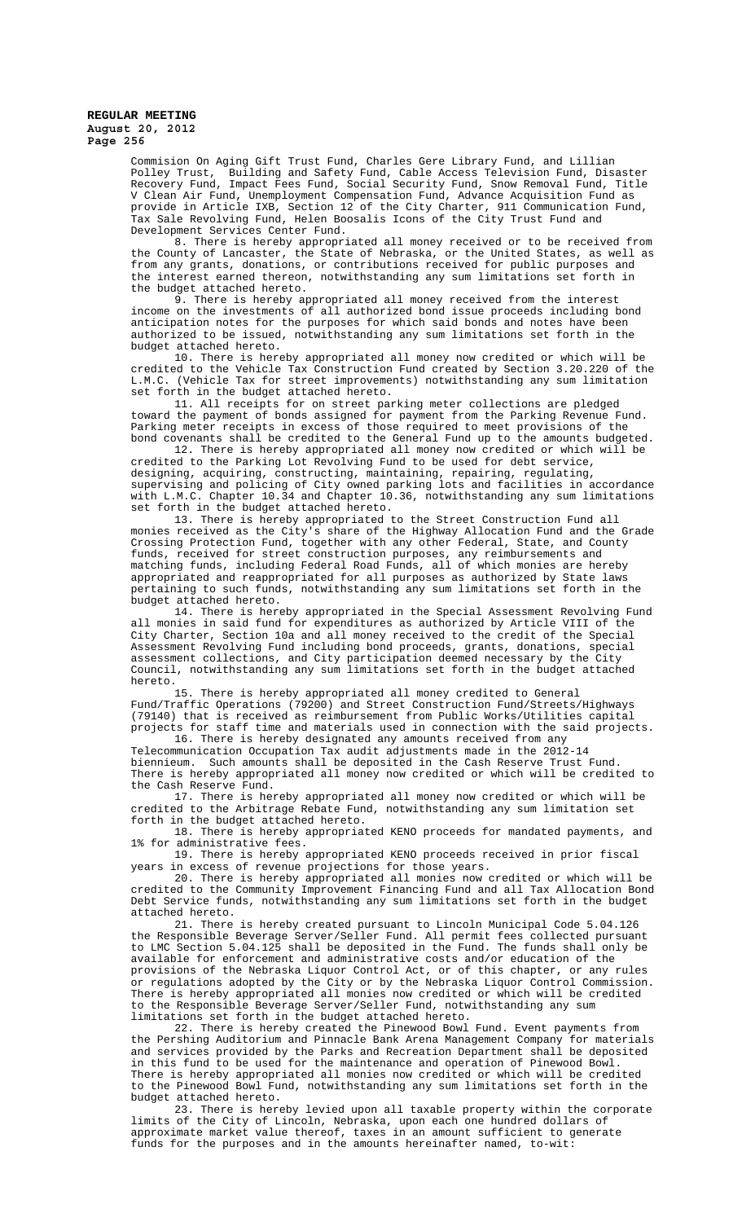> Commision On Aging Gift Trust Fund, Charles Gere Library Fund, and Lillian Polley Trust, Building and Safety Fund, Cable Access Television Fund, Disaster Recovery Fund, Impact Fees Fund, Social Security Fund, Snow Removal Fund, Title V Clean Air Fund, Unemployment Compensation Fund, Advance Acquisition Fund as provide in Article IXB, Section 12 of the City Charter, 911 Communication Fund, Tax Sale Revolving Fund, Helen Boosalis Icons of the City Trust Fund and Development Services Center Fund.

> 8. There is hereby appropriated all money received or to be received from the County of Lancaster, the State of Nebraska, or the United States, as well as from any grants, donations, or contributions received for public purposes and the interest earned thereon, notwithstanding any sum limitations set forth in the budget attached hereto.

9. There is hereby appropriated all money received from the interest income on the investments of all authorized bond issue proceeds including bond anticipation notes for the purposes for which said bonds and notes have been authorized to be issued, notwithstanding any sum limitations set forth in the budget attached hereto.

10. There is hereby appropriated all money now credited or which will be credited to the Vehicle Tax Construction Fund created by Section 3.20.220 of the L.M.C. (Vehicle Tax for street improvements) notwithstanding any sum limitation set forth in the budget attached hereto.

11. All receipts for on street parking meter collections are pledged toward the payment of bonds assigned for payment from the Parking Revenue Fund. Parking meter receipts in excess of those required to meet provisions of the bond covenants shall be credited to the General Fund up to the amounts budgeted.

12. There is hereby appropriated all money now credited or which will be credited to the Parking Lot Revolving Fund to be used for debt service, designing, acquiring, constructing, maintaining, repairing, regulating, supervising and policing of City owned parking lots and facilities in accordance with L.M.C. Chapter 10.34 and Chapter 10.36, notwithstanding any sum limitations set forth in the budget attached hereto.

13. There is hereby appropriated to the Street Construction Fund all monies received as the City's share of the Highway Allocation Fund and the Grade Crossing Protection Fund, together with any other Federal, State, and County funds, received for street construction purposes, any reimbursements and matching funds, including Federal Road Funds, all of which monies are hereby appropriated and reappropriated for all purposes as authorized by State laws pertaining to such funds, notwithstanding any sum limitations set forth in the budget attached hereto.

14. There is hereby appropriated in the Special Assessment Revolving Fund all monies in said fund for expenditures as authorized by Article VIII of the City Charter, Section 10a and all money received to the credit of the Special Assessment Revolving Fund including bond proceeds, grants, donations, special assessment collections, and City participation deemed necessary by the City Council, notwithstanding any sum limitations set forth in the budget attached hereto.

15. There is hereby appropriated all money credited to General Fund/Traffic Operations (79200) and Street Construction Fund/Streets/Highways (79140) that is received as reimbursement from Public Works/Utilities capital projects for staff time and materials used in connection with the said projects. 16. There is hereby designated any amounts received from any

Telecommunication Occupation Tax audit adjustments made in the 2012-14 biennieum. Such amounts shall be deposited in the Cash Reserve Trust Fund. There is hereby appropriated all money now credited or which will be credited to the Cash Reserve Fund.

17. There is hereby appropriated all money now credited or which will be credited to the Arbitrage Rebate Fund, notwithstanding any sum limitation set forth in the budget attached hereto.

18. There is hereby appropriated KENO proceeds for mandated payments, and 1% for administrative fees.

19. There is hereby appropriated KENO proceeds received in prior fiscal years in excess of revenue projections for those years.

20. There is hereby appropriated all monies now credited or which will be credited to the Community Improvement Financing Fund and all Tax Allocation Bond Debt Service funds, notwithstanding any sum limitations set forth in the budget attached hereto.

21. There is hereby created pursuant to Lincoln Municipal Code 5.04.126 the Responsible Beverage Server/Seller Fund. All permit fees collected pursuant to LMC Section 5.04.125 shall be deposited in the Fund. The funds shall only be available for enforcement and administrative costs and/or education of the provisions of the Nebraska Liquor Control Act, or of this chapter, or any rules or regulations adopted by the City or by the Nebraska Liquor Control Commission. There is hereby appropriated all monies now credited or which will be credited to the Responsible Beverage Server/Seller Fund, notwithstanding any sum limitations set forth in the budget attached hereto.

22. There is hereby created the Pinewood Bowl Fund. Event payments from the Pershing Auditorium and Pinnacle Bank Arena Management Company for materials and services provided by the Parks and Recreation Department shall be deposited in this fund to be used for the maintenance and operation of Pinewood Bowl. There is hereby appropriated all monies now credited or which will be credited to the Pinewood Bowl Fund, notwithstanding any sum limitations set forth in the budget attached hereto.

23. There is hereby levied upon all taxable property within the corporate limits of the City of Lincoln, Nebraska, upon each one hundred dollars of approximate market value thereof, taxes in an amount sufficient to generate funds for the purposes and in the amounts hereinafter named, to-wit: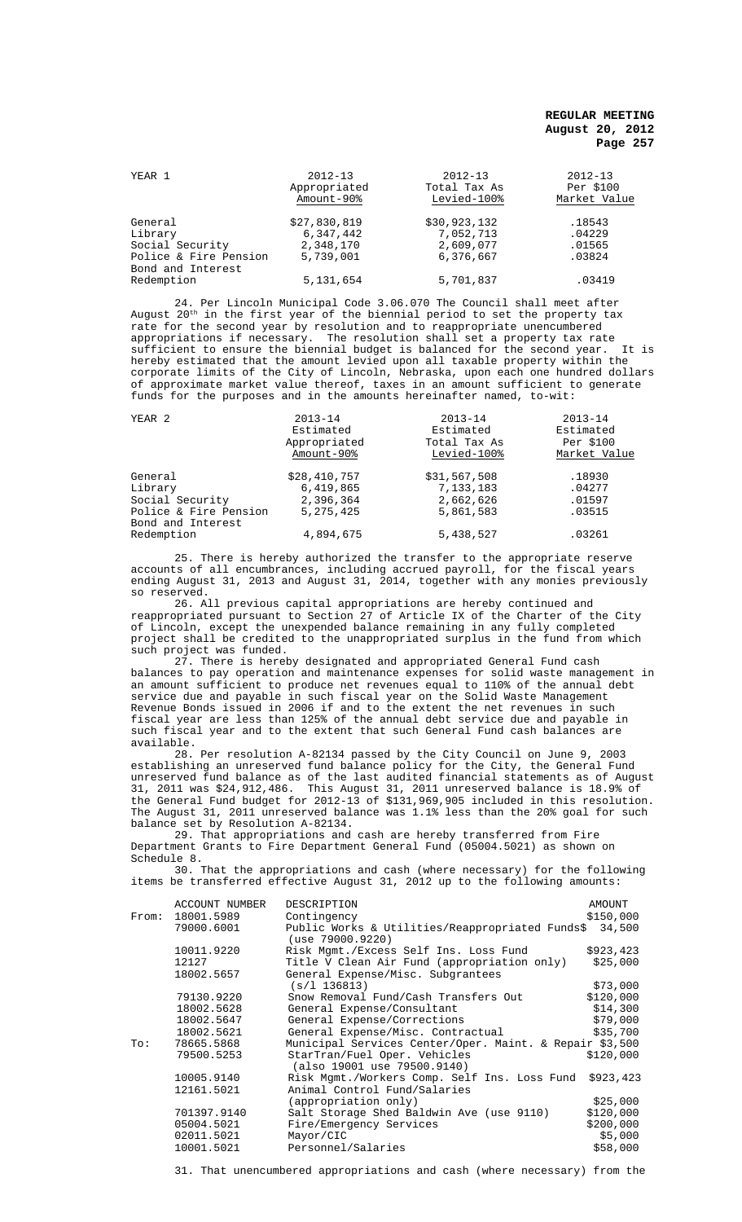| YEAR 1                | $2012 - 13$<br>Appropriated<br>Amount-90% | $2012 - 13$<br>Total Tax As<br>Levied-100% | $2012 - 13$<br>Per \$100<br>Market Value |
|-----------------------|-------------------------------------------|--------------------------------------------|------------------------------------------|
| General               | \$27,830,819                              | \$30,923,132                               | .18543                                   |
| Library               | 6,347,442                                 | 7,052,713                                  | .04229                                   |
| Social Security       | 2,348,170                                 | 2,609,077                                  | .01565                                   |
| Police & Fire Pension | 5,739,001                                 | 6,376,667                                  | .03824                                   |
| Bond and Interest     |                                           |                                            |                                          |
| Redemption            | 5, 131, 654                               | 5,701,837                                  | .03419                                   |

24. Per Lincoln Municipal Code 3.06.070 The Council shall meet after August  $20^{\rm th}$  in the first year of the biennial period to set the property tax rate for the second year by resolution and to reappropriate unencumbered appropriations if necessary. The resolution shall set a property tax rate<br>sufficient to ensure the biennial budget is balanced for the second year. It is sufficient to ensure the biennial budget is balanced for the second year. hereby estimated that the amount levied upon all taxable property within the corporate limits of the City of Lincoln, Nebraska, upon each one hundred dollars of approximate market value thereof, taxes in an amount sufficient to generate funds for the purposes and in the amounts hereinafter named, to-wit:

| YEAR <sub>2</sub>     | $2013 - 14$<br>Estimated<br>Appropriated<br>Amount-90% | $2013 - 14$<br>Estimated<br>Total Tax As<br>Levied-100% | $2013 - 14$<br>Estimated<br>Per \$100<br>Market Value |
|-----------------------|--------------------------------------------------------|---------------------------------------------------------|-------------------------------------------------------|
| General               | \$28,410,757                                           | \$31,567,508                                            | .18930                                                |
| Library               | 6,419,865                                              | 7,133,183                                               | .04277                                                |
| Social Security       | 2,396,364                                              | 2,662,626                                               | .01597                                                |
| Police & Fire Pension | 5, 275, 425                                            | 5,861,583                                               | .03515                                                |
| Bond and Interest     |                                                        |                                                         |                                                       |
| Redemption            | 4,894,675                                              | 5,438,527                                               | .03261                                                |

25. There is hereby authorized the transfer to the appropriate reserve accounts of all encumbrances, including accrued payroll, for the fiscal years ending August 31, 2013 and August 31, 2014, together with any monies previously so reserved.

26. All previous capital appropriations are hereby continued and reappropriated pursuant to Section 27 of Article IX of the Charter of the City of Lincoln, except the unexpended balance remaining in any fully completed project shall be credited to the unappropriated surplus in the fund from which such project was funded.

27. There is hereby designated and appropriated General Fund cash balances to pay operation and maintenance expenses for solid waste management in an amount sufficient to produce net revenues equal to 110% of the annual debt service due and payable in such fiscal year on the Solid Waste Management Revenue Bonds issued in 2006 if and to the extent the net revenues in such fiscal year are less than 125% of the annual debt service due and payable in such fiscal year and to the extent that such General Fund cash balances are available.

28. Per resolution A-82134 passed by the City Council on June 9, 2003 establishing an unreserved fund balance policy for the City, the General Fund unreserved fund balance as of the last audited financial statements as of August 31, 2011 was \$24,912,486. This August 31, 2011 unreserved balance is 18.9% of the General Fund budget for 2012-13 of \$131,969,905 included in this resolution. The August 31, 2011 unreserved balance was 1.1% less than the 20% goal for such balance set by Resolution A-82134.

29. That appropriations and cash are hereby transferred from Fire Department Grants to Fire Department General Fund (05004.5021) as shown on Schedule 8.

30. That the appropriations and cash (where necessary) for the following items be transferred effective August 31, 2012 up to the following amounts:

| From: | ACCOUNT NUMBER<br>18001.5989 | DESCRIPTION<br>Contingency                                                 | AMOUNT<br>\$150,000 |
|-------|------------------------------|----------------------------------------------------------------------------|---------------------|
|       | 79000.6001                   | Public Works & Utilities/Reappropriated Funds\$ 34,500<br>(use 79000.9220) |                     |
|       | 10011.9220                   | Risk Mgmt./Excess Self Ins. Loss Fund                                      | \$923,423           |
|       | 12127                        | Title V Clean Air Fund (appropriation only)                                | \$25,000            |
|       | 18002.5657                   | General Expense/Misc. Subgrantees                                          |                     |
|       |                              | (s/l 136813)                                                               | \$73,000            |
|       | 79130.9220                   | Snow Removal Fund/Cash Transfers Out                                       | \$120,000           |
|       | 18002.5628                   | General Expense/Consultant                                                 | \$14,300            |
|       | 18002.5647                   | General Expense/Corrections                                                | \$79,000            |
|       | 18002.5621                   | General Expense/Misc. Contractual                                          | \$35,700            |
| To:   | 78665.5868                   | Municipal Services Center/Oper. Maint. & Repair \$3,500                    |                     |
|       | 79500.5253                   | StarTran/Fuel Oper. Vehicles<br>(also 19001 use 79500.9140)                | \$120,000           |
|       | 10005.9140                   | Risk Mgmt./Workers Comp. Self Ins. Loss Fund \$923,423                     |                     |
|       | 12161.5021                   | Animal Control Fund/Salaries                                               |                     |
|       |                              | (appropriation only)                                                       | \$25,000            |
|       | 701397.9140                  | Salt Storage Shed Baldwin Ave (use 9110)                                   | \$120,000           |
|       | 05004.5021                   | Fire/Emergency Services                                                    | \$200,000           |
|       | 02011.5021                   | Mayor/CIC                                                                  | \$5,000             |
|       | 10001.5021                   | Personnel/Salaries                                                         | \$58,000            |

31. That unencumbered appropriations and cash (where necessary) from the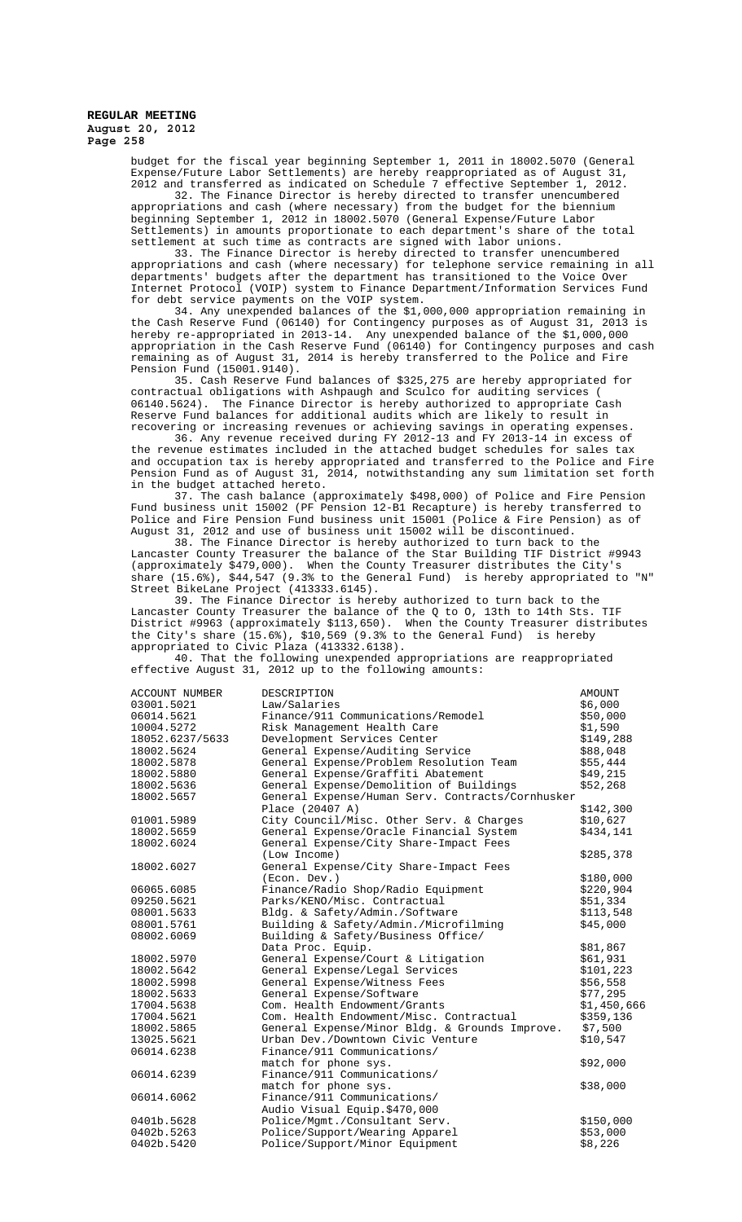> budget for the fiscal year beginning September 1, 2011 in 18002.5070 (General Expense/Future Labor Settlements) are hereby reappropriated as of August 31, 2012 and transferred as indicated on Schedule 7 effective September 1, 2012.

> 32. The Finance Director is hereby directed to transfer unencumbered appropriations and cash (where necessary) from the budget for the biennium beginning September 1, 2012 in 18002.5070 (General Expense/Future Labor Settlements) in amounts proportionate to each department's share of the total settlement at such time as contracts are signed with labor unions.

33. The Finance Director is hereby directed to transfer unencumbered appropriations and cash (where necessary) for telephone service remaining in all departments' budgets after the department has transitioned to the Voice Over Internet Protocol (VOIP) system to Finance Department/Information Services Fund for debt service payments on the VOIP system.

34. Any unexpended balances of the \$1,000,000 appropriation remaining in the Cash Reserve Fund (06140) for Contingency purposes as of August 31, 2013 is hereby re-appropriated in 2013-14. Any unexpended balance of the \$1,000,000 appropriation in the Cash Reserve Fund (06140) for Contingency purposes and cash remaining as of August 31, 2014 is hereby transferred to the Police and Fire Pension Fund (15001.9140).

35. Cash Reserve Fund balances of \$325,275 are hereby appropriated for contractual obligations with Ashpaugh and Sculco for auditing services ( 06140.5624). The Finance Director is hereby authorized to appropriate Cash Reserve Fund balances for additional audits which are likely to result in recovering or increasing revenues or achieving savings in operating expenses.

36. Any revenue received during FY 2012-13 and FY 2013-14 in excess of the revenue estimates included in the attached budget schedules for sales tax and occupation tax is hereby appropriated and transferred to the Police and Fire Pension Fund as of August 31, 2014, notwithstanding any sum limitation set forth in the budget attached hereto.

37. The cash balance (approximately \$498,000) of Police and Fire Pension Fund business unit 15002 (PF Pension 12-B1 Recapture) is hereby transferred to Police and Fire Pension Fund business unit 15001 (Police & Fire Pension) as of August 31, 2012 and use of business unit 15002 will be discontinued.

38. The Finance Director is hereby authorized to turn back to the Lancaster County Treasurer the balance of the Star Building TIF District #9943 (approximately \$479,000). When the County Treasurer distributes the City's share (15.6%), \$44,547 (9.3% to the General Fund) is hereby appropriated to "N" Street BikeLane Project (413333.6145).

39. The Finance Director is hereby authorized to turn back to the Lancaster County Treasurer the balance of the Q to 0, 13th to 14th Sts. TIF District #9963 (approximately \$113,650). When the County Treasurer distributes the City's share  $(15.6%)$ , \$10,569 (9.3% to the General Fund) is hereby appropriated to Civic Plaza (413332.6138).

40. That the following unexpended appropriations are reappropriated effective August 31, 2012 up to the following amounts:

| <b>ACCOUNT NUMBER</b> | DESCRIPTION                                      | <b>AMOUNT</b> |
|-----------------------|--------------------------------------------------|---------------|
| 03001.5021            | Law/Salaries                                     | \$6,000       |
| 06014.5621            | Finance/911 Communications/Remodel               | \$50,000      |
| 10004.5272            | Risk Management Health Care                      | \$1,590       |
| 18052.6237/5633       | Development Services Center                      | \$149,288     |
| 18002.5624            | General Expense/Auditing Service                 | \$88,048      |
| 18002.5878            | General Expense/Problem Resolution Team          | \$55,444      |
| 18002.5880            | General Expense/Graffiti Abatement               | \$49,215      |
| 18002.5636            | General Expense/Demolition of Buildings          | \$52,268      |
| 18002.5657            | General Expense/Human Serv. Contracts/Cornhusker |               |
|                       | Place (20407 A)                                  | \$142,300     |
| 01001.5989            | City Council/Misc. Other Serv. & Charges         | \$10,627      |
| 18002.5659            | General Expense/Oracle Financial System          | \$434,141     |
| 18002.6024            | General Expense/City Share-Impact Fees           |               |
|                       | (Low Income)                                     | \$285,378     |
| 18002.6027            | General Expense/City Share-Impact Fees           |               |
|                       | (Econ. Dev.)                                     | \$180,000     |
| 06065.6085            | Finance/Radio Shop/Radio Equipment               | \$220,904     |
| 09250.5621            | Parks/KENO/Misc. Contractual                     | \$51,334      |
| 08001.5633            | Bldg. & Safety/Admin./Software                   | \$113,548     |
| 08001.5761            | Building & Safety/Admin./Microfilming            | \$45,000      |
| 08002.6069            | Building & Safety/Business Office/               |               |
|                       | Data Proc. Equip.                                | \$81,867      |
| 18002.5970            | General Expense/Court & Litigation               | \$61,931      |
| 18002.5642            | General Expense/Legal Services                   | \$101,223     |
| 18002.5998            | General Expense/Witness Fees                     | \$56,558      |
| 18002.5633            | General Expense/Software                         | \$77,295      |
| 17004.5638            | Com. Health Endowment/Grants                     | \$1,450,666   |
| 17004.5621            | Com. Health Endowment/Misc. Contractual          | \$359,136     |
| 18002.5865            | General Expense/Minor Bldg. & Grounds Improve.   | \$7,500       |
| 13025.5621            | Urban Dev./Downtown Civic Venture                | \$10,547      |
| 06014.6238            | Finance/911 Communications/                      |               |
|                       | match for phone sys.                             | \$92,000      |
| 06014.6239            | Finance/911 Communications/                      |               |
|                       | match for phone sys.                             | \$38,000      |
| 06014.6062            | Finance/911 Communications/                      |               |
|                       | Audio Visual Equip.\$470,000                     |               |
| 0401b.5628            | Police/Mgmt./Consultant Serv.                    | \$150,000     |
| 0402b.5263            | Police/Support/Wearing Apparel                   | \$53,000      |
| 0402b.5420            | Police/Support/Minor Equipment                   | \$8,226       |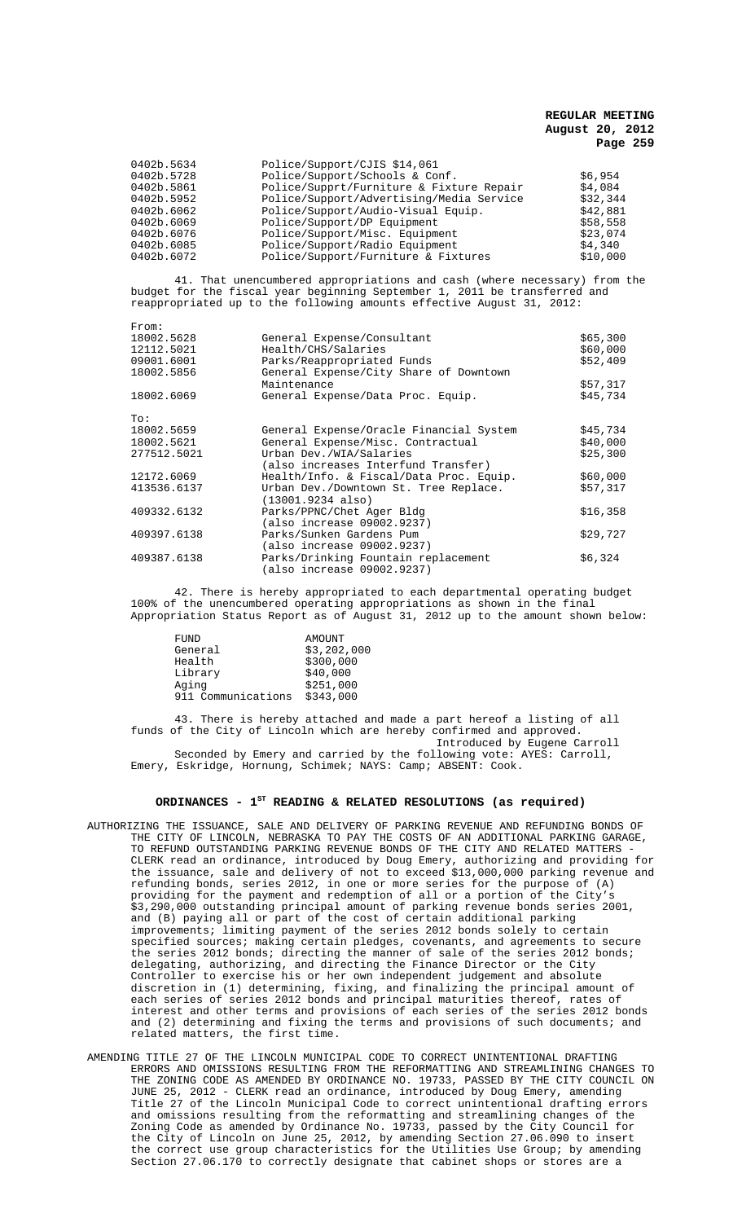| Police/Support/Schools & Conf.<br>0402b.5728<br>\$6.954<br>Police/Supprt/Furniture & Fixture Repair<br>\$4,084<br>0402b.5861<br>Police/Support/Advertising/Media Service<br>\$32,344<br>0402b.5952<br>Police/Support/Audio-Visual Equip.<br>0402b.6062<br>\$42,881<br>0402b.6069<br>Police/Support/DP Equipment<br>\$58,558<br>Police/Support/Misc. Equipment<br>\$23,074<br>0402b.6076<br>Police/Support/Radio Equipment<br>0402b.6085<br>\$4,340 |  |
|----------------------------------------------------------------------------------------------------------------------------------------------------------------------------------------------------------------------------------------------------------------------------------------------------------------------------------------------------------------------------------------------------------------------------------------------------|--|
| Police/Support/Furniture & Fixtures<br>0402b.6072<br>\$10,000                                                                                                                                                                                                                                                                                                                                                                                      |  |

41. That unencumbered appropriations and cash (where necessary) from the budget for the fiscal year beginning September 1, 2011 be transferred and reappropriated up to the following amounts effective August 31, 2012:

| From:       |                                                                      |          |
|-------------|----------------------------------------------------------------------|----------|
| 18002.5628  | General Expense/Consultant                                           | \$65,300 |
| 12112.5021  | Health/CHS/Salaries                                                  | \$60,000 |
| 09001.6001  | Parks/Reappropriated Funds                                           | \$52,409 |
| 18002.5856  | General Expense/City Share of Downtown                               |          |
|             | Maintenance                                                          | \$57,317 |
| 18002.6069  | General Expense/Data Proc. Equip.                                    | \$45,734 |
| To:         |                                                                      |          |
| 18002.5659  | General Expense/Oracle Financial System                              | \$45,734 |
| 18002.5621  | General Expense/Misc. Contractual                                    | \$40,000 |
| 277512.5021 | Urban Dev./WIA/Salaries                                              | \$25,300 |
|             | (also increases Interfund Transfer)                                  |          |
| 12172.6069  | Health/Info. & Fiscal/Data Proc. Equip.                              | \$60,000 |
| 413536.6137 | Urban Dev./Downtown St. Tree Replace.<br>$(13001.9234 \text{ also})$ | \$57,317 |
| 409332.6132 | Parks/PPNC/Chet Ager Bldg                                            | \$16,358 |
|             | (also increase 09002.9237)                                           |          |
| 409397.6138 | Parks/Sunken Gardens Pum                                             | \$29,727 |
|             | (also increase 09002.9237)                                           |          |
| 409387.6138 | Parks/Drinking Fountain replacement                                  | \$6,324  |
|             | (also increase 09002.9237)                                           |          |

42. There is hereby appropriated to each departmental operating budget 100% of the unencumbered operating appropriations as shown in the final Appropriation Status Report as of August 31, 2012 up to the amount shown below:

| FUND               | <b>AMOUNT</b> |
|--------------------|---------------|
| General            | \$3,202,000   |
| Health             | \$300,000     |
| Library            | \$40,000      |
| Aging              | \$251,000     |
| 911 Communications | \$343,000     |
|                    |               |

43. There is hereby attached and made a part hereof a listing of all funds of the City of Lincoln which are hereby confirmed and approved. Introduced by Eugene Carroll

Seconded by Emery and carried by the following vote: AYES: Carroll, Emery, Eskridge, Hornung, Schimek; NAYS: Camp; ABSENT: Cook.

# **ORDINANCES - 1ST READING & RELATED RESOLUTIONS (as required)**

- AUTHORIZING THE ISSUANCE, SALE AND DELIVERY OF PARKING REVENUE AND REFUNDING BONDS OF THE CITY OF LINCOLN, NEBRASKA TO PAY THE COSTS OF AN ADDITIONAL PARKING GARAGE, TO REFUND OUTSTANDING PARKING REVENUE BONDS OF THE CITY AND RELATED MATTERS - CLERK read an ordinance, introduced by Doug Emery, authorizing and providing for the issuance, sale and delivery of not to exceed \$13,000,000 parking revenue and refunding bonds, series 2012, in one or more series for the purpose of (A) providing for the payment and redemption of all or a portion of the City's \$3,290,000 outstanding principal amount of parking revenue bonds series 2001, and (B) paying all or part of the cost of certain additional parking improvements; limiting payment of the series 2012 bonds solely to certain specified sources; making certain pledges, covenants, and agreements to secure the series 2012 bonds; directing the manner of sale of the series 2012 bonds; delegating, authorizing, and directing the Finance Director or the City Controller to exercise his or her own independent judgement and absolute discretion in (1) determining, fixing, and finalizing the principal amount of each series of series 2012 bonds and principal maturities thereof, rates of interest and other terms and provisions of each series of the series 2012 bonds and (2) determining and fixing the terms and provisions of such documents; and related matters, the first time.
- AMENDING TITLE 27 OF THE LINCOLN MUNICIPAL CODE TO CORRECT UNINTENTIONAL DRAFTING ERRORS AND OMISSIONS RESULTING FROM THE REFORMATTING AND STREAMLINING CHANGES TO THE ZONING CODE AS AMENDED BY ORDINANCE NO. 19733, PASSED BY THE CITY COUNCIL ON JUNE 25, 2012 - CLERK read an ordinance, introduced by Doug Emery, amending Title 27 of the Lincoln Municipal Code to correct unintentional drafting errors and omissions resulting from the reformatting and streamlining changes of the Zoning Code as amended by Ordinance No. 19733, passed by the City Council for the City of Lincoln on June 25, 2012, by amending Section 27.06.090 to insert the correct use group characteristics for the Utilities Use Group; by amending Section 27.06.170 to correctly designate that cabinet shops or stores are a